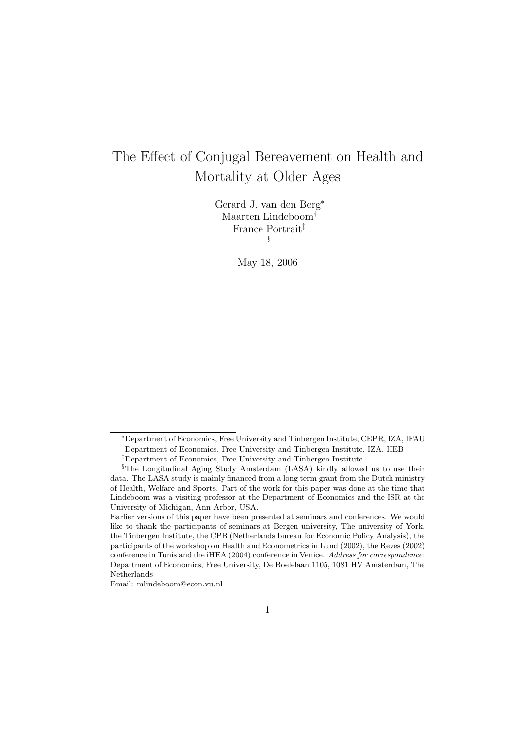# The Effect of Conjugal Bereavement on Health and Mortality at Older Ages

Gerard J. van den Berg<sup>∗</sup> Maarten Lindeboom† France Portrait‡ §

May 18, 2006

<sup>∗</sup>Department of Economics, Free University and Tinbergen Institute, CEPR, IZA, IFAU

<sup>†</sup>Department of Economics, Free University and Tinbergen Institute, IZA, HEB

<sup>‡</sup>Department of Economics, Free University and Tinbergen Institute

<sup>§</sup>The Longitudinal Aging Study Amsterdam (LASA) kindly allowed us to use their data. The LASA study is mainly financed from a long term grant from the Dutch ministry of Health, Welfare and Sports. Part of the work for this paper was done at the time that Lindeboom was a visiting professor at the Department of Economics and the ISR at the University of Michigan, Ann Arbor, USA.

Earlier versions of this paper have been presented at seminars and conferences. We would like to thank the participants of seminars at Bergen university, The university of York, the Tinbergen Institute, the CPB (Netherlands bureau for Economic Policy Analysis), the participants of the workshop on Health and Econometrics in Lund (2002), the Reves (2002) conference in Tunis and the iHEA (2004) conference in Venice. Address for correspondence: Department of Economics, Free University, De Boelelaan 1105, 1081 HV Amsterdam, The Netherlands

Email: mlindeboom@econ.vu.nl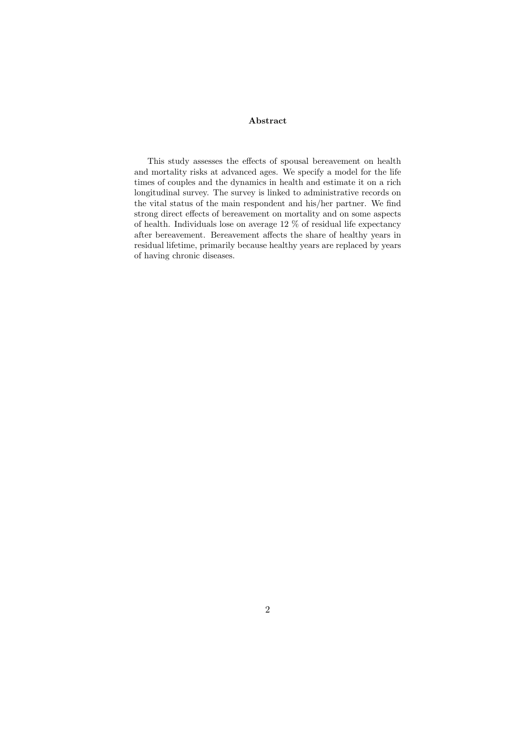#### Abstract

This study assesses the effects of spousal bereavement on health and mortality risks at advanced ages. We specify a model for the life times of couples and the dynamics in health and estimate it on a rich longitudinal survey. The survey is linked to administrative records on the vital status of the main respondent and his/her partner. We find strong direct effects of bereavement on mortality and on some aspects of health. Individuals lose on average 12  $\%$  of residual life expectancy after bereavement. Bereavement affects the share of healthy years in residual lifetime, primarily because healthy years are replaced by years of having chronic diseases.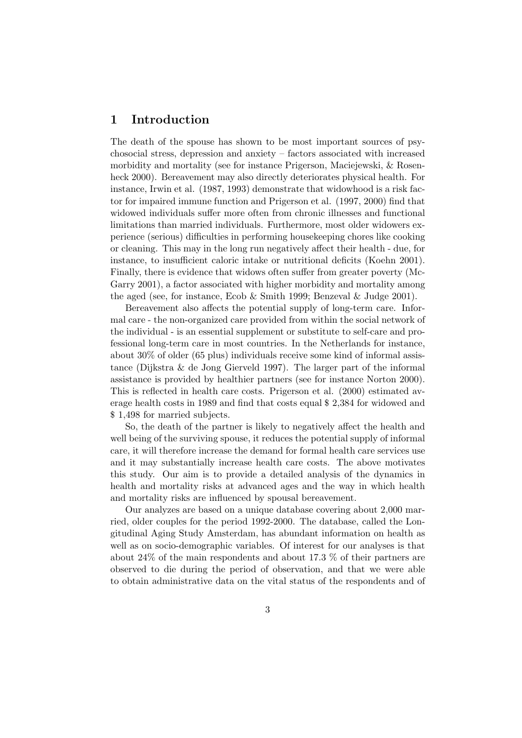## 1 Introduction

The death of the spouse has shown to be most important sources of psychosocial stress, depression and anxiety – factors associated with increased morbidity and mortality (see for instance Prigerson, Maciejewski, & Rosenheck 2000). Bereavement may also directly deteriorates physical health. For instance, Irwin et al. (1987, 1993) demonstrate that widowhood is a risk factor for impaired immune function and Prigerson et al. (1997, 2000) find that widowed individuals suffer more often from chronic illnesses and functional limitations than married individuals. Furthermore, most older widowers experience (serious) difficulties in performing housekeeping chores like cooking or cleaning. This may in the long run negatively affect their health - due, for instance, to insufficient caloric intake or nutritional deficits (Koehn 2001). Finally, there is evidence that widows often suffer from greater poverty (Mc-Garry 2001), a factor associated with higher morbidity and mortality among the aged (see, for instance, Ecob & Smith 1999; Benzeval & Judge 2001).

Bereavement also affects the potential supply of long-term care. Informal care - the non-organized care provided from within the social network of the individual - is an essential supplement or substitute to self-care and professional long-term care in most countries. In the Netherlands for instance, about 30% of older (65 plus) individuals receive some kind of informal assistance (Dijkstra & de Jong Gierveld 1997). The larger part of the informal assistance is provided by healthier partners (see for instance Norton 2000). This is reflected in health care costs. Prigerson et al. (2000) estimated average health costs in 1989 and find that costs equal \$ 2,384 for widowed and \$ 1,498 for married subjects.

So, the death of the partner is likely to negatively affect the health and well being of the surviving spouse, it reduces the potential supply of informal care, it will therefore increase the demand for formal health care services use and it may substantially increase health care costs. The above motivates this study. Our aim is to provide a detailed analysis of the dynamics in health and mortality risks at advanced ages and the way in which health and mortality risks are influenced by spousal bereavement.

Our analyzes are based on a unique database covering about 2,000 married, older couples for the period 1992-2000. The database, called the Longitudinal Aging Study Amsterdam, has abundant information on health as well as on socio-demographic variables. Of interest for our analyses is that about 24% of the main respondents and about 17.3 % of their partners are observed to die during the period of observation, and that we were able to obtain administrative data on the vital status of the respondents and of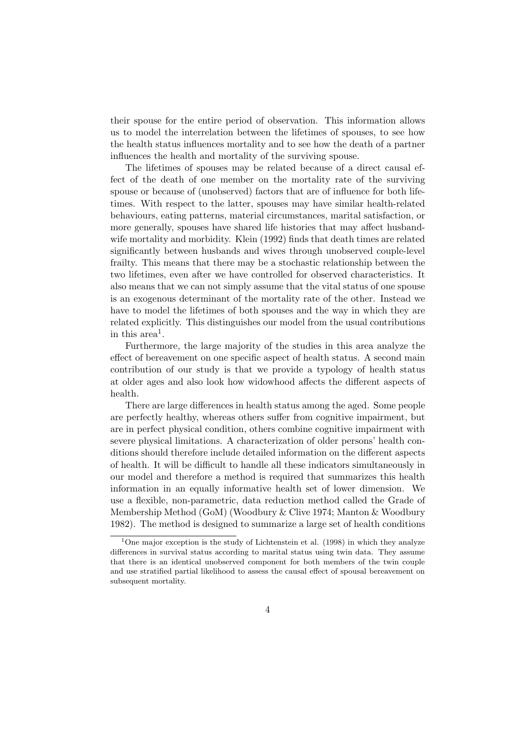their spouse for the entire period of observation. This information allows us to model the interrelation between the lifetimes of spouses, to see how the health status influences mortality and to see how the death of a partner influences the health and mortality of the surviving spouse.

The lifetimes of spouses may be related because of a direct causal effect of the death of one member on the mortality rate of the surviving spouse or because of (unobserved) factors that are of influence for both lifetimes. With respect to the latter, spouses may have similar health-related behaviours, eating patterns, material circumstances, marital satisfaction, or more generally, spouses have shared life histories that may affect husbandwife mortality and morbidity. Klein (1992) finds that death times are related significantly between husbands and wives through unobserved couple-level frailty. This means that there may be a stochastic relationship between the two lifetimes, even after we have controlled for observed characteristics. It also means that we can not simply assume that the vital status of one spouse is an exogenous determinant of the mortality rate of the other. Instead we have to model the lifetimes of both spouses and the way in which they are related explicitly. This distinguishes our model from the usual contributions in this  $area<sup>1</sup>$ .

Furthermore, the large majority of the studies in this area analyze the effect of bereavement on one specific aspect of health status. A second main contribution of our study is that we provide a typology of health status at older ages and also look how widowhood affects the different aspects of health.

There are large differences in health status among the aged. Some people are perfectly healthy, whereas others suffer from cognitive impairment, but are in perfect physical condition, others combine cognitive impairment with severe physical limitations. A characterization of older persons' health conditions should therefore include detailed information on the different aspects of health. It will be difficult to handle all these indicators simultaneously in our model and therefore a method is required that summarizes this health information in an equally informative health set of lower dimension. We use a flexible, non-parametric, data reduction method called the Grade of Membership Method (GoM) (Woodbury & Clive 1974; Manton & Woodbury 1982). The method is designed to summarize a large set of health conditions

 $1$ One major exception is the study of Lichtenstein et al. (1998) in which they analyze differences in survival status according to marital status using twin data. They assume that there is an identical unobserved component for both members of the twin couple and use stratified partial likelihood to assess the causal effect of spousal bereavement on subsequent mortality.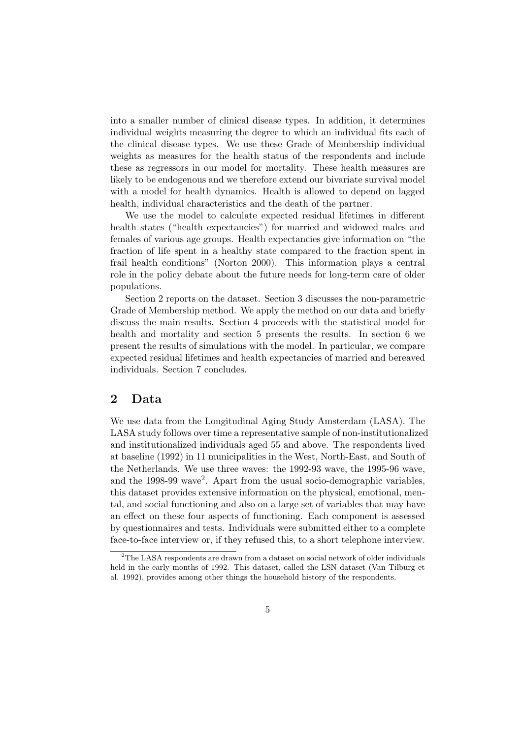into a smaller number of clinical disease types. In addition, it determines individual weights measuring the degree to which an individual fits each of the clinical disease types. We use these Grade of Membership individual weights as measures for the health status of the respondents and include these as regressors in our model for mortality. These health measures are likely to be endogenous and we therefore extend our bivariate survival model with a model for health dynamics. Health is allowed to depend on lagged health, individual characteristics and the death of the partner.

We use the model to calculate expected residual lifetimes in different health states ("health expectancies") for married and widowed males and females of various age groups. Health expectancies give information on "the fraction of life spent in a healthy state compared to the fraction spent in frail health conditions" (Norton 2000). This information plays a central role in the policy debate about the future needs for long-term care of older populations.

Section 2 reports on the dataset. Section 3 discusses the non-parametric Grade of Membership method. We apply the method on our data and briefly discuss the main results. Section 4 proceeds with the statistical model for health and mortality and section 5 presents the results. In section 6 we present the results of simulations with the model. In particular, we compare expected residual lifetimes and health expectancies of married and bereaved individuals. Section 7 concludes.

# 2 Data

We use data from the Longitudinal Aging Study Amsterdam (LASA). The LASA study follows over time a representative sample of non-institutionalized and institutionalized individuals aged 55 and above. The respondents lived at baseline (1992) in 11 municipalities in the West, North-East, and South of the Netherlands. We use three waves: the 1992-93 wave, the 1995-96 wave, and the 1998-99 wave<sup>2</sup>. Apart from the usual socio-demographic variables, this dataset provides extensive information on the physical, emotional, mental, and social functioning and also on a large set of variables that may have an effect on these four aspects of functioning. Each component is assessed by questionnaires and tests. Individuals were submitted either to a complete face-to-face interview or, if they refused this, to a short telephone interview.

<sup>&</sup>lt;sup>2</sup>The LASA respondents are drawn from a dataset on social network of older individuals held in the early months of 1992. This dataset, called the LSN dataset (Van Tilburg et al. 1992), provides among other things the household history of the respondents.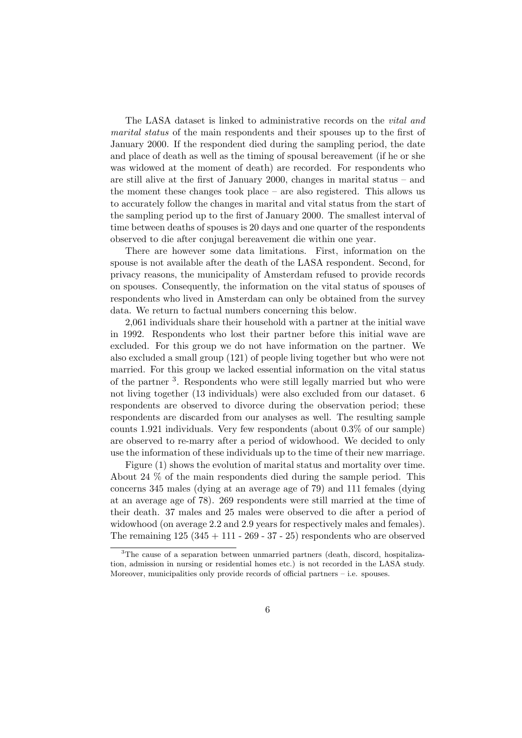The LASA dataset is linked to administrative records on the vital and marital status of the main respondents and their spouses up to the first of January 2000. If the respondent died during the sampling period, the date and place of death as well as the timing of spousal bereavement (if he or she was widowed at the moment of death) are recorded. For respondents who are still alive at the first of January 2000, changes in marital status – and the moment these changes took place – are also registered. This allows us to accurately follow the changes in marital and vital status from the start of the sampling period up to the first of January 2000. The smallest interval of time between deaths of spouses is 20 days and one quarter of the respondents observed to die after conjugal bereavement die within one year.

There are however some data limitations. First, information on the spouse is not available after the death of the LASA respondent. Second, for privacy reasons, the municipality of Amsterdam refused to provide records on spouses. Consequently, the information on the vital status of spouses of respondents who lived in Amsterdam can only be obtained from the survey data. We return to factual numbers concerning this below.

2,061 individuals share their household with a partner at the initial wave in 1992. Respondents who lost their partner before this initial wave are excluded. For this group we do not have information on the partner. We also excluded a small group (121) of people living together but who were not married. For this group we lacked essential information on the vital status of the partner <sup>3</sup>. Respondents who were still legally married but who were not living together (13 individuals) were also excluded from our dataset. 6 respondents are observed to divorce during the observation period; these respondents are discarded from our analyses as well. The resulting sample counts 1.921 individuals. Very few respondents (about 0.3% of our sample) are observed to re-marry after a period of widowhood. We decided to only use the information of these individuals up to the time of their new marriage.

Figure (1) shows the evolution of marital status and mortality over time. About 24 % of the main respondents died during the sample period. This concerns 345 males (dying at an average age of 79) and 111 females (dying at an average age of 78). 269 respondents were still married at the time of their death. 37 males and 25 males were observed to die after a period of widowhood (on average 2.2 and 2.9 years for respectively males and females). The remaining  $125(345 + 111 - 269 - 37 - 25)$  respondents who are observed

<sup>3</sup>The cause of a separation between unmarried partners (death, discord, hospitalization, admission in nursing or residential homes etc.) is not recorded in the LASA study. Moreover, municipalities only provide records of official partners – i.e. spouses.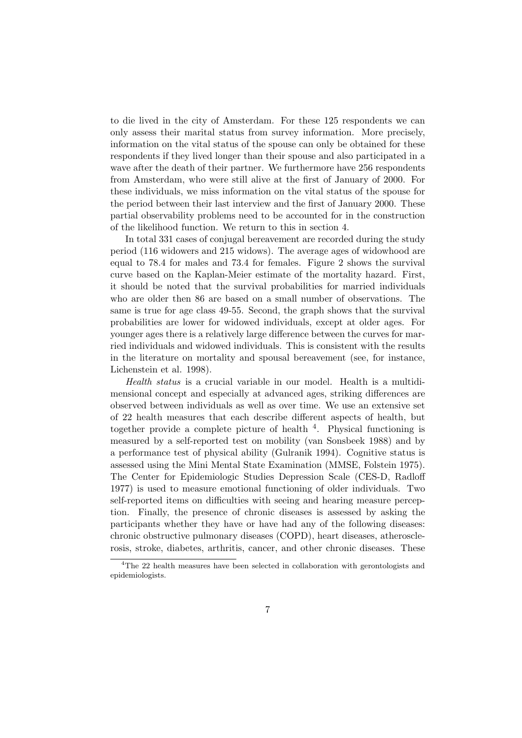to die lived in the city of Amsterdam. For these 125 respondents we can only assess their marital status from survey information. More precisely, information on the vital status of the spouse can only be obtained for these respondents if they lived longer than their spouse and also participated in a wave after the death of their partner. We furthermore have 256 respondents from Amsterdam, who were still alive at the first of January of 2000. For these individuals, we miss information on the vital status of the spouse for the period between their last interview and the first of January 2000. These partial observability problems need to be accounted for in the construction of the likelihood function. We return to this in section 4.

In total 331 cases of conjugal bereavement are recorded during the study period (116 widowers and 215 widows). The average ages of widowhood are equal to 78.4 for males and 73.4 for females. Figure 2 shows the survival curve based on the Kaplan-Meier estimate of the mortality hazard. First, it should be noted that the survival probabilities for married individuals who are older then 86 are based on a small number of observations. The same is true for age class 49-55. Second, the graph shows that the survival probabilities are lower for widowed individuals, except at older ages. For younger ages there is a relatively large difference between the curves for married individuals and widowed individuals. This is consistent with the results in the literature on mortality and spousal bereavement (see, for instance, Lichenstein et al. 1998).

Health status is a crucial variable in our model. Health is a multidimensional concept and especially at advanced ages, striking differences are observed between individuals as well as over time. We use an extensive set of 22 health measures that each describe different aspects of health, but together provide a complete picture of health  $4$ . Physical functioning is measured by a self-reported test on mobility (van Sonsbeek 1988) and by a performance test of physical ability (Gulranik 1994). Cognitive status is assessed using the Mini Mental State Examination (MMSE, Folstein 1975). The Center for Epidemiologic Studies Depression Scale (CES-D, Radloff 1977) is used to measure emotional functioning of older individuals. Two self-reported items on difficulties with seeing and hearing measure perception. Finally, the presence of chronic diseases is assessed by asking the participants whether they have or have had any of the following diseases: chronic obstructive pulmonary diseases (COPD), heart diseases, atherosclerosis, stroke, diabetes, arthritis, cancer, and other chronic diseases. These

<sup>&</sup>lt;sup>4</sup>The 22 health measures have been selected in collaboration with gerontologists and epidemiologists.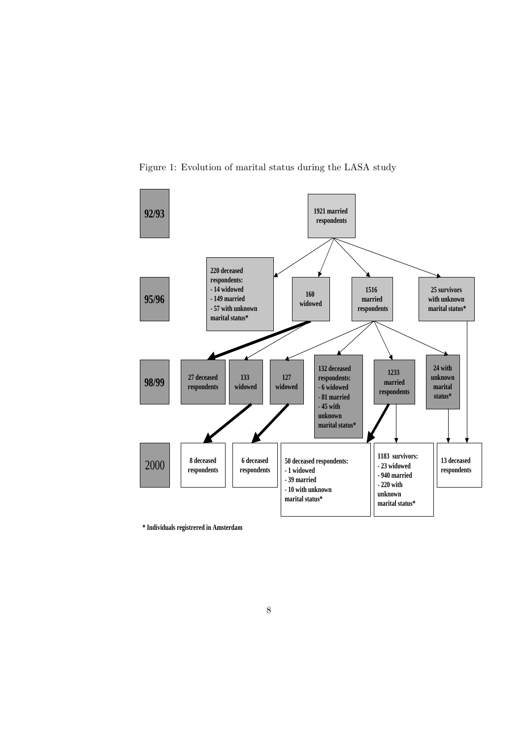

Figure 1: Evolution of marital status during the LASA study

**\* Individuals registrered in Amsterdam**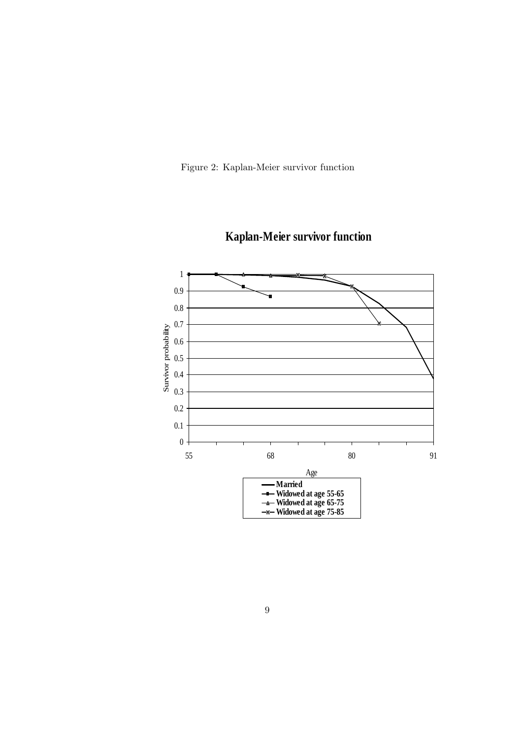Figure 2: Kaplan-Meier survivor function



**Kaplan-Meier survivor function**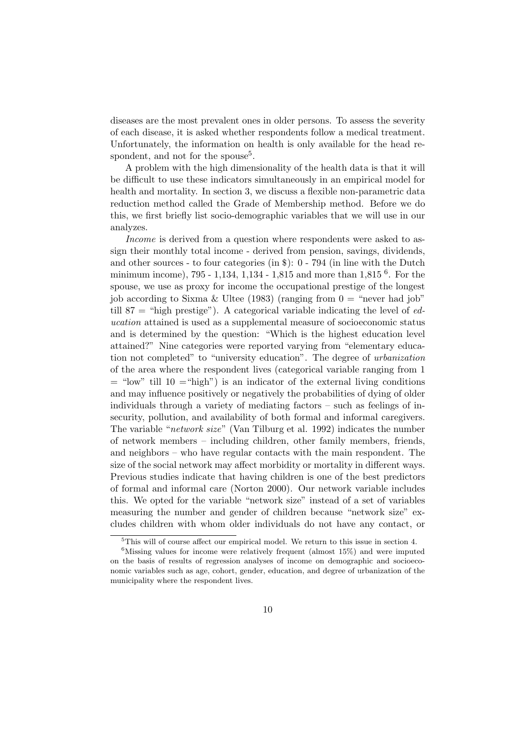diseases are the most prevalent ones in older persons. To assess the severity of each disease, it is asked whether respondents follow a medical treatment. Unfortunately, the information on health is only available for the head respondent, and not for the spouse<sup>5</sup>.

A problem with the high dimensionality of the health data is that it will be difficult to use these indicators simultaneously in an empirical model for health and mortality. In section 3, we discuss a flexible non-parametric data reduction method called the Grade of Membership method. Before we do this, we first briefly list socio-demographic variables that we will use in our analyzes.

Income is derived from a question where respondents were asked to assign their monthly total income - derived from pension, savings, dividends, and other sources - to four categories (in \$): 0 - 794 (in line with the Dutch minimum income), 795 - 1,134, 1,134 - 1,815 and more than 1,815<sup>6</sup>. For the spouse, we use as proxy for income the occupational prestige of the longest job according to Sixma & Ultee (1983) (ranging from  $0 =$  "never had job" till 87 = "high prestige"). A categorical variable indicating the level of  $ed$ ucation attained is used as a supplemental measure of socioeconomic status and is determined by the question: "Which is the highest education level attained?" Nine categories were reported varying from "elementary education not completed" to "university education". The degree of urbanization of the area where the respondent lives (categorical variable ranging from 1  $=$  "low" till 10  $=$  "high") is an indicator of the external living conditions and may influence positively or negatively the probabilities of dying of older individuals through a variety of mediating factors – such as feelings of insecurity, pollution, and availability of both formal and informal caregivers. The variable "network size" (Van Tilburg et al. 1992) indicates the number of network members – including children, other family members, friends, and neighbors – who have regular contacts with the main respondent. The size of the social network may affect morbidity or mortality in different ways. Previous studies indicate that having children is one of the best predictors of formal and informal care (Norton 2000). Our network variable includes this. We opted for the variable "network size" instead of a set of variables measuring the number and gender of children because "network size" excludes children with whom older individuals do not have any contact, or

<sup>5</sup>This will of course affect our empirical model. We return to this issue in section 4.

 $6$ Missing values for income were relatively frequent (almost 15%) and were imputed on the basis of results of regression analyses of income on demographic and socioeconomic variables such as age, cohort, gender, education, and degree of urbanization of the municipality where the respondent lives.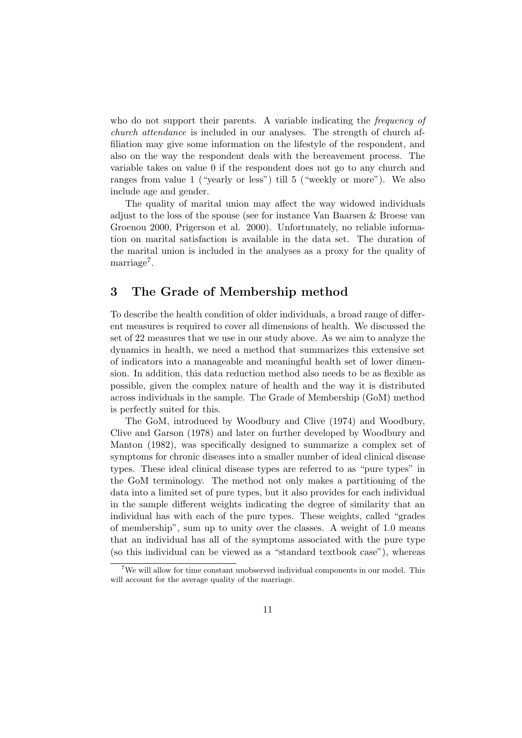who do not support their parents. A variable indicating the *frequency of* church attendance is included in our analyses. The strength of church affiliation may give some information on the lifestyle of the respondent, and also on the way the respondent deals with the bereavement process. The variable takes on value 0 if the respondent does not go to any church and ranges from value 1 ("yearly or less") till 5 ("weekly or more"). We also include age and gender.

The quality of marital union may affect the way widowed individuals adjust to the loss of the spouse (see for instance Van Baarsen & Broese van Groenou 2000, Prigerson et al. 2000). Unfortunately, no reliable information on marital satisfaction is available in the data set. The duration of the marital union is included in the analyses as a proxy for the quality of marriage<sup>7</sup>.

### 3 The Grade of Membership method

To describe the health condition of older individuals, a broad range of different measures is required to cover all dimensions of health. We discussed the set of 22 measures that we use in our study above. As we aim to analyze the dynamics in health, we need a method that summarizes this extensive set of indicators into a manageable and meaningful health set of lower dimension. In addition, this data reduction method also needs to be as flexible as possible, given the complex nature of health and the way it is distributed across individuals in the sample. The Grade of Membership (GoM) method is perfectly suited for this.

The GoM, introduced by Woodbury and Clive (1974) and Woodbury, Clive and Garson (1978) and later on further developed by Woodbury and Manton (1982), was specifically designed to summarize a complex set of symptoms for chronic diseases into a smaller number of ideal clinical disease types. These ideal clinical disease types are referred to as "pure types" in the GoM terminology. The method not only makes a partitioning of the data into a limited set of pure types, but it also provides for each individual in the sample different weights indicating the degree of similarity that an individual has with each of the pure types. These weights, called "grades of membership", sum up to unity over the classes. A weight of 1.0 means that an individual has all of the symptoms associated with the pure type (so this individual can be viewed as a "standard textbook case"), whereas

<sup>7</sup>We will allow for time constant unobserved individual components in our model. This will account for the average quality of the marriage.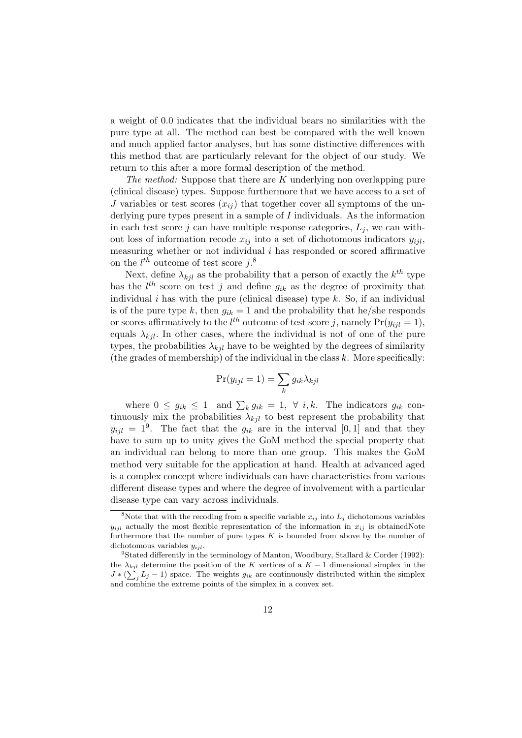a weight of 0.0 indicates that the individual bears no similarities with the pure type at all. The method can best be compared with the well known and much applied factor analyses, but has some distinctive differences with this method that are particularly relevant for the object of our study. We return to this after a more formal description of the method.

The method: Suppose that there are  $K$  underlying non overlapping pure (clinical disease) types. Suppose furthermore that we have access to a set of J variables or test scores  $(x_{ij})$  that together cover all symptoms of the underlying pure types present in a sample of I individuals. As the information in each test score j can have multiple response categories,  $L_i$ , we can without loss of information recode  $x_{ij}$  into a set of dichotomous indicators  $y_{ijl}$ , measuring whether or not individual  $i$  has responded or scored affirmative on the  $l^{th}$  outcome of test score  $j$ .<sup>8</sup>

Next, define  $\lambda_{kjl}$  as the probability that a person of exactly the  $k^{th}$  type has the  $l^{th}$  score on test j and define  $g_{ik}$  as the degree of proximity that individual  $i$  has with the pure (clinical disease) type  $k$ . So, if an individual is of the pure type k, then  $g_{ik} = 1$  and the probability that he/she responds or scores affirmatively to the  $l^{th}$  outcome of test score j, namely  $Pr(y_{ijl} = 1)$ , equals  $\lambda_{kil}$ . In other cases, where the individual is not of one of the pure types, the probabilities  $\lambda_{kjl}$  have to be weighted by the degrees of similarity (the grades of membership) of the individual in the class  $k$ . More specifically:

$$
\Pr(y_{ijl} = 1) = \sum_{k} g_{ik} \lambda_{kjl}
$$

where  $0 \leq g_{ik} \leq 1$  and  $\sum_k g_{ik} = 1$ ,  $\forall i, k$ . The indicators  $g_{ik}$  continuously mix the probabilities  $\lambda_{kil}$  to best represent the probability that  $y_{ijl} = 1^9$ . The fact that the  $g_{ik}$  are in the interval [0, 1] and that they have to sum up to unity gives the GoM method the special property that an individual can belong to more than one group. This makes the GoM method very suitable for the application at hand. Health at advanced aged is a complex concept where individuals can have characteristics from various different disease types and where the degree of involvement with a particular disease type can vary across individuals.

<sup>&</sup>lt;sup>8</sup>Note that with the recoding from a specific variable  $x_{ij}$  into  $L_j$  dichotomous variables  $y_{ijl}$  actually the most flexible representation of the information in  $x_{ij}$  is obtainedNote furthermore that the number of pure types  $K$  is bounded from above by the number of dichotomous variables  $y_{iil}$ .

<sup>&</sup>lt;sup>9</sup>Stated differently in the terminology of Manton, Woodbury, Stallard & Corder (1992): the  $\lambda_{kjl}$  determine the position of the K vertices of a  $K-1$  dimensional simplex in the  $J * (\sum_j L_j - 1)$  space. The weights  $g_{ik}$  are continuously distributed within the simplex and combine the extreme points of the simplex in a convex set.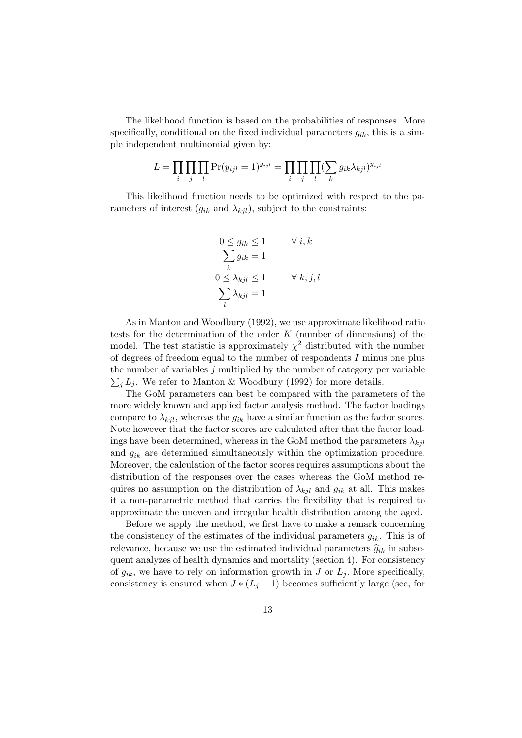The likelihood function is based on the probabilities of responses. More specifically, conditional on the fixed individual parameters  $q_{ik}$ , this is a simple independent multinomial given by:

$$
L = \prod_i \prod_j \prod_l \Pr(y_{ijl} = 1)^{y_{ijl}} = \prod_i \prod_j \prod_l (\sum_k g_{ik} \lambda_{kjl})^{y_{ijl}}
$$

This likelihood function needs to be optimized with respect to the parameters of interest  $(g_{ik}$  and  $\lambda_{kil}$ , subject to the constraints:

$$
0 \le g_{ik} \le 1 \qquad \forall i, k
$$
  

$$
\sum_{k} g_{ik} = 1
$$
  

$$
0 \le \lambda_{kjl} \le 1 \qquad \forall k, j, l
$$
  

$$
\sum_{l} \lambda_{kjl} = 1
$$

As in Manton and Woodbury (1992), we use approximate likelihood ratio tests for the determination of the order  $K$  (number of dimensions) of the model. The test statistic is approximately  $\chi^2$  distributed with the number of degrees of freedom equal to the number of respondents I minus one plus the number of variables j multiplied by the number of category per variable  $\sum_{i} L_i$ . We refer to Manton & Woodbury (1992) for more details.

The GoM parameters can best be compared with the parameters of the more widely known and applied factor analysis method. The factor loadings compare to  $\lambda_{kjl}$ , whereas the  $g_{ik}$  have a similar function as the factor scores. Note however that the factor scores are calculated after that the factor loadings have been determined, whereas in the GoM method the parameters  $\lambda_{kil}$ and  $g_{ik}$  are determined simultaneously within the optimization procedure. Moreover, the calculation of the factor scores requires assumptions about the distribution of the responses over the cases whereas the GoM method requires no assumption on the distribution of  $\lambda_{kjl}$  and  $g_{ik}$  at all. This makes it a non-parametric method that carries the flexibility that is required to approximate the uneven and irregular health distribution among the aged.

Before we apply the method, we first have to make a remark concerning the consistency of the estimates of the individual parameters  $g_{ik}$ . This is of relevance, because we use the estimated individual parameters  $\hat{g}_{ik}$  in subsequent analyzes of health dynamics and mortality (section 4). For consistency of  $g_{ik}$ , we have to rely on information growth in J or  $L_i$ . More specifically, consistency is ensured when  $J * (L_j - 1)$  becomes sufficiently large (see, for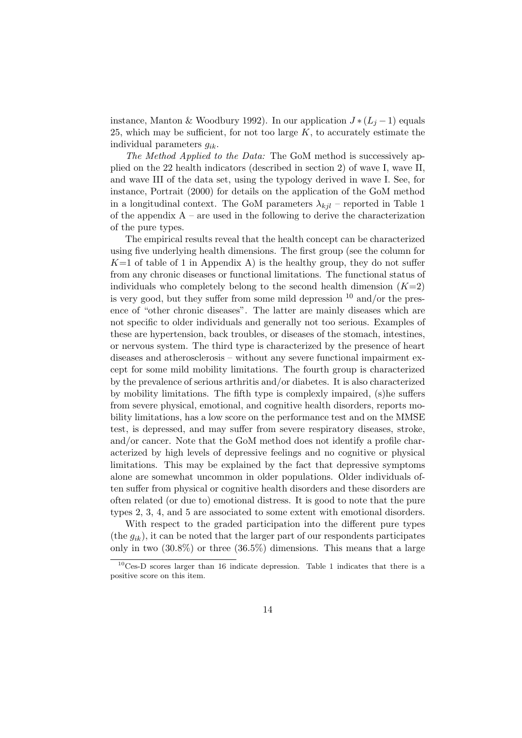instance, Manton & Woodbury 1992). In our application  $J*(L_i-1)$  equals 25, which may be sufficient, for not too large  $K$ , to accurately estimate the individual parameters  $q_{ik}$ .

The Method Applied to the Data: The GoM method is successively applied on the 22 health indicators (described in section 2) of wave I, wave II, and wave III of the data set, using the typology derived in wave I. See, for instance, Portrait (2000) for details on the application of the GoM method in a longitudinal context. The GoM parameters  $\lambda_{ki}$  – reported in Table 1 of the appendix  $A$  – are used in the following to derive the characterization of the pure types.

The empirical results reveal that the health concept can be characterized using five underlying health dimensions. The first group (see the column for  $K=1$  of table of 1 in Appendix A) is the healthy group, they do not suffer from any chronic diseases or functional limitations. The functional status of individuals who completely belong to the second health dimension  $(K=2)$ is very good, but they suffer from some mild depression  $10$  and/or the presence of "other chronic diseases". The latter are mainly diseases which are not specific to older individuals and generally not too serious. Examples of these are hypertension, back troubles, or diseases of the stomach, intestines, or nervous system. The third type is characterized by the presence of heart diseases and atherosclerosis – without any severe functional impairment except for some mild mobility limitations. The fourth group is characterized by the prevalence of serious arthritis and/or diabetes. It is also characterized by mobility limitations. The fifth type is complexly impaired, (s)he suffers from severe physical, emotional, and cognitive health disorders, reports mobility limitations, has a low score on the performance test and on the MMSE test, is depressed, and may suffer from severe respiratory diseases, stroke, and/or cancer. Note that the GoM method does not identify a profile characterized by high levels of depressive feelings and no cognitive or physical limitations. This may be explained by the fact that depressive symptoms alone are somewhat uncommon in older populations. Older individuals often suffer from physical or cognitive health disorders and these disorders are often related (or due to) emotional distress. It is good to note that the pure types 2, 3, 4, and 5 are associated to some extent with emotional disorders.

With respect to the graded participation into the different pure types (the  $g_{ik}$ ), it can be noted that the larger part of our respondents participates only in two (30.8%) or three (36.5%) dimensions. This means that a large

 $10$ Ces-D scores larger than 16 indicate depression. Table 1 indicates that there is a positive score on this item.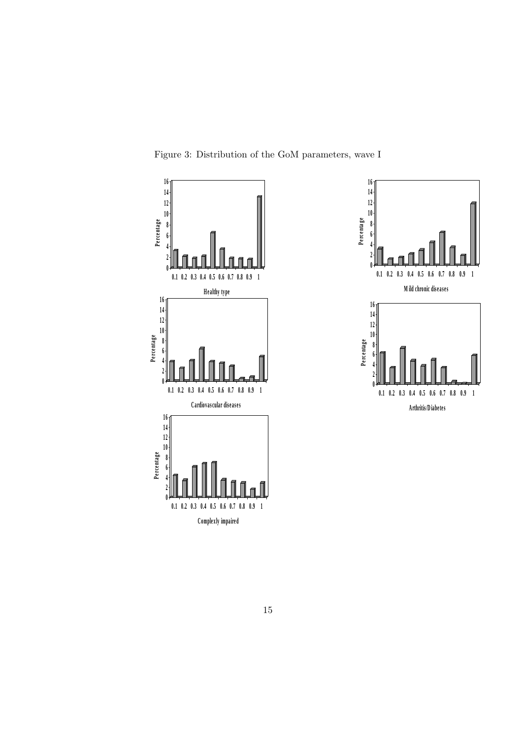

Figure 3: Distribution of the GoM parameters, wave I

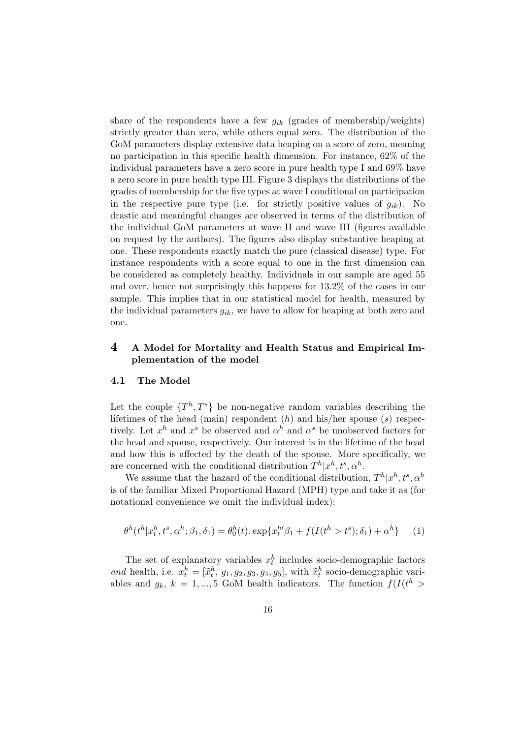share of the respondents have a few  $q_{ik}$  (grades of membership/weights) strictly greater than zero, while others equal zero. The distribution of the GoM parameters display extensive data heaping on a score of zero, meaning no participation in this specific health dimension. For instance, 62% of the individual parameters have a zero score in pure health type I and 69% have a zero score in pure health type III. Figure 3 displays the distributions of the grades of membership for the five types at wave I conditional on participation in the respective pure type (i.e. for strictly positive values of  $g_{ik}$ ). No drastic and meaningful changes are observed in terms of the distribution of the individual GoM parameters at wave II and wave III (figures available on request by the authors). The figures also display substantive heaping at one. These respondents exactly match the pure (classical disease) type. For instance respondents with a score equal to one in the first dimension can be considered as completely healthy. Individuals in our sample are aged 55 and over, hence not surprisingly this happens for 13.2% of the cases in our sample. This implies that in our statistical model for health, measured by the individual parameters  $g_{ik}$ , we have to allow for heaping at both zero and one.

### 4 A Model for Mortality and Health Status and Empirical Implementation of the model

#### 4.1 The Model

Let the couple  $\{T^h, T^s\}$  be non-negative random variables describing the lifetimes of the head (main) respondent  $(h)$  and his/her spouse  $(s)$  respectively. Let  $x^h$  and  $x^s$  be observed and  $\alpha^h$  and  $\alpha^s$  be unobserved factors for the head and spouse, respectively. Our interest is in the lifetime of the head and how this is affected by the death of the spouse. More specifically, we are concerned with the conditional distribution  $T^h|x^h, t^s, \alpha^h$ .

We assume that the hazard of the conditional distribution,  $T^h|x^h, t^s, \alpha^h$ is of the familiar Mixed Proportional Hazard (MPH) type and take it as (for notational convenience we omit the individual index):

$$
\theta^h(t^h | x_t^h, t^s, \alpha^h; \beta_1, \delta_1) = \theta_0^h(t) \cdot \exp\{x_t^{h'} \beta_1 + f(I(t^h > t^s); \delta_1) + \alpha^h\} \tag{1}
$$

The set of explanatory variables  $x_t^h$  includes socio-demographic factors and health, i.e.  $x_t^h = [\tilde{x}_t^h, g_1, g_2, g_3, g_4, g_5]$ , with  $\tilde{x}_t^h$  socio-demographic variables and  $g_k$ ,  $k = 1, ..., 5$  GoM health indicators. The function  $f(I(t^h >$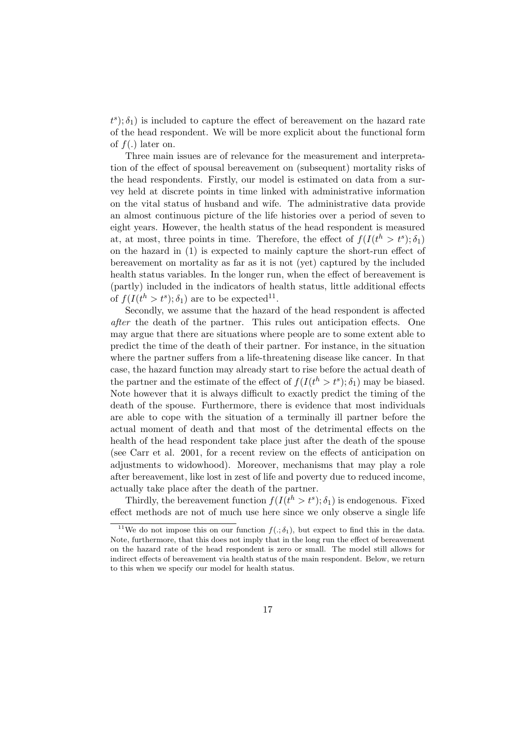$(t^s)$ ;  $\delta_1$ ) is included to capture the effect of bereavement on the hazard rate of the head respondent. We will be more explicit about the functional form of  $f(.)$  later on.

Three main issues are of relevance for the measurement and interpretation of the effect of spousal bereavement on (subsequent) mortality risks of the head respondents. Firstly, our model is estimated on data from a survey held at discrete points in time linked with administrative information on the vital status of husband and wife. The administrative data provide an almost continuous picture of the life histories over a period of seven to eight years. However, the health status of the head respondent is measured at, at most, three points in time. Therefore, the effect of  $f(I(t^h > t^s); \delta_1)$ on the hazard in (1) is expected to mainly capture the short-run effect of bereavement on mortality as far as it is not (yet) captured by the included health status variables. In the longer run, when the effect of bereavement is (partly) included in the indicators of health status, little additional effects of  $f(I(t^h > t^s); \delta_1)$  are to be expected<sup>11</sup>.

Secondly, we assume that the hazard of the head respondent is affected after the death of the partner. This rules out anticipation effects. One may argue that there are situations where people are to some extent able to predict the time of the death of their partner. For instance, in the situation where the partner suffers from a life-threatening disease like cancer. In that case, the hazard function may already start to rise before the actual death of the partner and the estimate of the effect of  $f(I(t^h > t^s); \delta_1)$  may be biased. Note however that it is always difficult to exactly predict the timing of the death of the spouse. Furthermore, there is evidence that most individuals are able to cope with the situation of a terminally ill partner before the actual moment of death and that most of the detrimental effects on the health of the head respondent take place just after the death of the spouse (see Carr et al. 2001, for a recent review on the effects of anticipation on adjustments to widowhood). Moreover, mechanisms that may play a role after bereavement, like lost in zest of life and poverty due to reduced income, actually take place after the death of the partner.

Thirdly, the bereavement function  $f(I(t^h > t^s); \delta_1)$  is endogenous. Fixed effect methods are not of much use here since we only observe a single life

<sup>&</sup>lt;sup>11</sup>We do not impose this on our function  $f(.; \delta_1)$ , but expect to find this in the data. Note, furthermore, that this does not imply that in the long run the effect of bereavement on the hazard rate of the head respondent is zero or small. The model still allows for indirect effects of bereavement via health status of the main respondent. Below, we return to this when we specify our model for health status.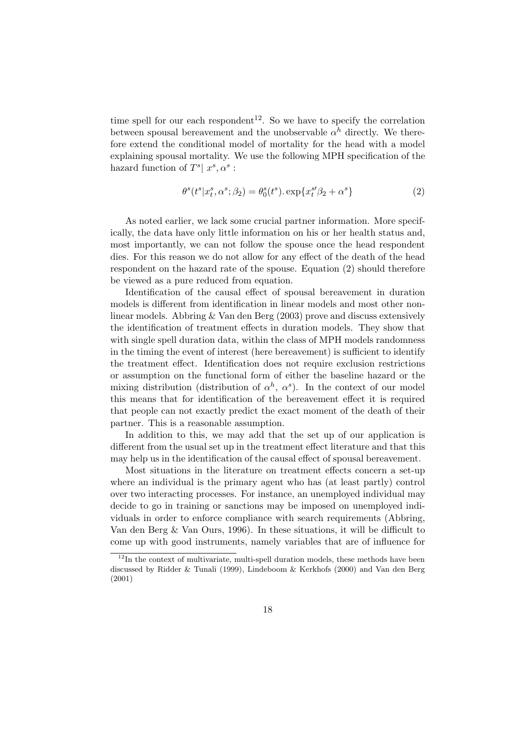time spell for our each respondent<sup>12</sup>. So we have to specify the correlation between spousal bereavement and the unobservable  $\alpha^h$  directly. We therefore extend the conditional model of mortality for the head with a model explaining spousal mortality. We use the following MPH specification of the hazard function of  $T^s | x^s, \alpha^s$ :

$$
\theta^s(t^s | x_t^s, \alpha^s; \beta_2) = \theta_0^s(t^s) \cdot \exp\{x_t^{s\prime}\beta_2 + \alpha^s\} \tag{2}
$$

As noted earlier, we lack some crucial partner information. More specifically, the data have only little information on his or her health status and, most importantly, we can not follow the spouse once the head respondent dies. For this reason we do not allow for any effect of the death of the head respondent on the hazard rate of the spouse. Equation (2) should therefore be viewed as a pure reduced from equation.

Identification of the causal effect of spousal bereavement in duration models is different from identification in linear models and most other nonlinear models. Abbring & Van den Berg (2003) prove and discuss extensively the identification of treatment effects in duration models. They show that with single spell duration data, within the class of MPH models randomness in the timing the event of interest (here bereavement) is sufficient to identify the treatment effect. Identification does not require exclusion restrictions or assumption on the functional form of either the baseline hazard or the mixing distribution (distribution of  $\alpha^h$ ,  $\alpha^s$ ). In the context of our model this means that for identification of the bereavement effect it is required that people can not exactly predict the exact moment of the death of their partner. This is a reasonable assumption.

In addition to this, we may add that the set up of our application is different from the usual set up in the treatment effect literature and that this may help us in the identification of the causal effect of spousal bereavement.

Most situations in the literature on treatment effects concern a set-up where an individual is the primary agent who has (at least partly) control over two interacting processes. For instance, an unemployed individual may decide to go in training or sanctions may be imposed on unemployed individuals in order to enforce compliance with search requirements (Abbring, Van den Berg & Van Ours, 1996). In these situations, it will be difficult to come up with good instruments, namely variables that are of influence for

 $12$ In the context of multivariate, multi-spell duration models, these methods have been discussed by Ridder & Tunali (1999), Lindeboom & Kerkhofs (2000) and Van den Berg (2001)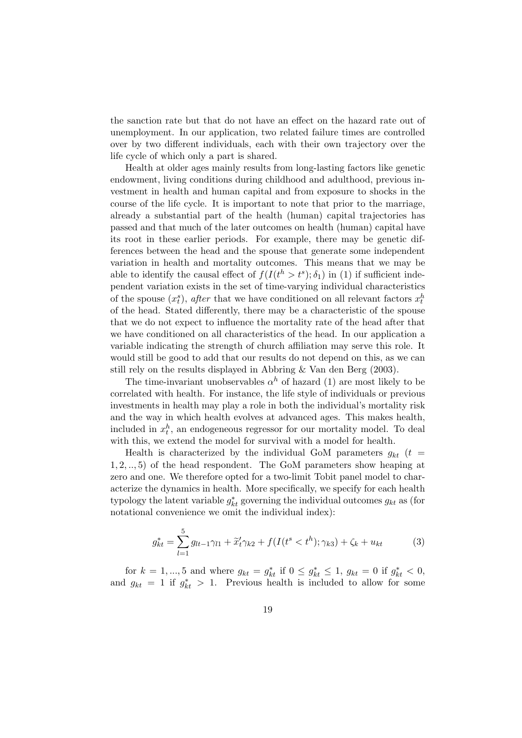the sanction rate but that do not have an effect on the hazard rate out of unemployment. In our application, two related failure times are controlled over by two different individuals, each with their own trajectory over the life cycle of which only a part is shared.

Health at older ages mainly results from long-lasting factors like genetic endowment, living conditions during childhood and adulthood, previous investment in health and human capital and from exposure to shocks in the course of the life cycle. It is important to note that prior to the marriage, already a substantial part of the health (human) capital trajectories has passed and that much of the later outcomes on health (human) capital have its root in these earlier periods. For example, there may be genetic differences between the head and the spouse that generate some independent variation in health and mortality outcomes. This means that we may be able to identify the causal effect of  $f(I(t^h > t^s); \delta_1)$  in (1) if sufficient independent variation exists in the set of time-varying individual characteristics of the spouse  $(x_t^s)$ , *after* that we have conditioned on all relevant factors  $x_t^h$ of the head. Stated differently, there may be a characteristic of the spouse that we do not expect to influence the mortality rate of the head after that we have conditioned on all characteristics of the head. In our application a variable indicating the strength of church affiliation may serve this role. It would still be good to add that our results do not depend on this, as we can still rely on the results displayed in Abbring & Van den Berg (2003).

The time-invariant unobservables  $\alpha^h$  of hazard (1) are most likely to be correlated with health. For instance, the life style of individuals or previous investments in health may play a role in both the individual's mortality risk and the way in which health evolves at advanced ages. This makes health, included in  $x_t^h$ , an endogeneous regressor for our mortality model. To deal with this, we extend the model for survival with a model for health.

Health is characterized by the individual GoM parameters  $g_{kt}$  (t = 1, 2, .., 5) of the head respondent. The GoM parameters show heaping at zero and one. We therefore opted for a two-limit Tobit panel model to characterize the dynamics in health. More specifically, we specify for each health typology the latent variable  $g_{kt}^*$  governing the individual outcomes  $g_{kt}$  as (for notational convenience we omit the individual index):

$$
g_{kt}^* = \sum_{l=1}^5 g_{lt-1} \gamma_{l1} + \tilde{x}_t' \gamma_{k2} + f(I(t^* < t^h); \gamma_{k3}) + \zeta_k + u_{kt}
$$
(3)

for  $k = 1, ..., 5$  and where  $g_{kt} = g_{kt}^*$  if  $0 \le g_{kt}^* \le 1$ ,  $g_{kt} = 0$  if  $g_{kt}^* < 0$ , and  $g_{kt} = 1$  if  $g_{kt}^* > 1$ . Previous health is included to allow for some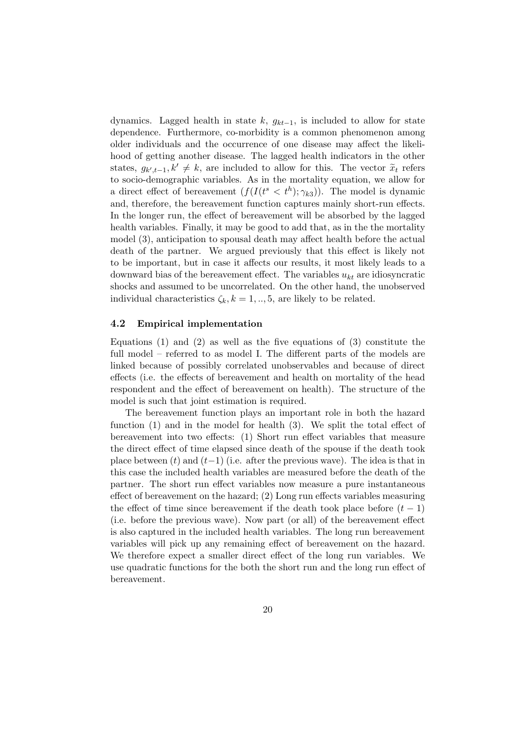dynamics. Lagged health in state k,  $g_{kt-1}$ , is included to allow for state dependence. Furthermore, co-morbidity is a common phenomenon among older individuals and the occurrence of one disease may affect the likelihood of getting another disease. The lagged health indicators in the other states,  $g_{k',t-1}, k' \neq k$ , are included to allow for this. The vector  $\tilde{x}_t$  refers to socio-demographic variables. As in the mortality equation, we allow for a direct effect of bereavement  $(f(I(t<sup>s</sup> < t<sup>h</sup>); \gamma_{k3}))$ . The model is dynamic and, therefore, the bereavement function captures mainly short-run effects. In the longer run, the effect of bereavement will be absorbed by the lagged health variables. Finally, it may be good to add that, as in the the mortality model (3), anticipation to spousal death may affect health before the actual death of the partner. We argued previously that this effect is likely not to be important, but in case it affects our results, it most likely leads to a downward bias of the bereavement effect. The variables  $u_{kt}$  are idiosyncratic shocks and assumed to be uncorrelated. On the other hand, the unobserved individual characteristics  $\zeta_k, k = 1, ..., 5$ , are likely to be related.

#### 4.2 Empirical implementation

Equations  $(1)$  and  $(2)$  as well as the five equations of  $(3)$  constitute the full model – referred to as model I. The different parts of the models are linked because of possibly correlated unobservables and because of direct effects (i.e. the effects of bereavement and health on mortality of the head respondent and the effect of bereavement on health). The structure of the model is such that joint estimation is required.

The bereavement function plays an important role in both the hazard function (1) and in the model for health (3). We split the total effect of bereavement into two effects: (1) Short run effect variables that measure the direct effect of time elapsed since death of the spouse if the death took place between  $(t)$  and  $(t-1)$  (i.e. after the previous wave). The idea is that in this case the included health variables are measured before the death of the partner. The short run effect variables now measure a pure instantaneous effect of bereavement on the hazard; (2) Long run effects variables measuring the effect of time since bereavement if the death took place before  $(t - 1)$ (i.e. before the previous wave). Now part (or all) of the bereavement effect is also captured in the included health variables. The long run bereavement variables will pick up any remaining effect of bereavement on the hazard. We therefore expect a smaller direct effect of the long run variables. We use quadratic functions for the both the short run and the long run effect of bereavement.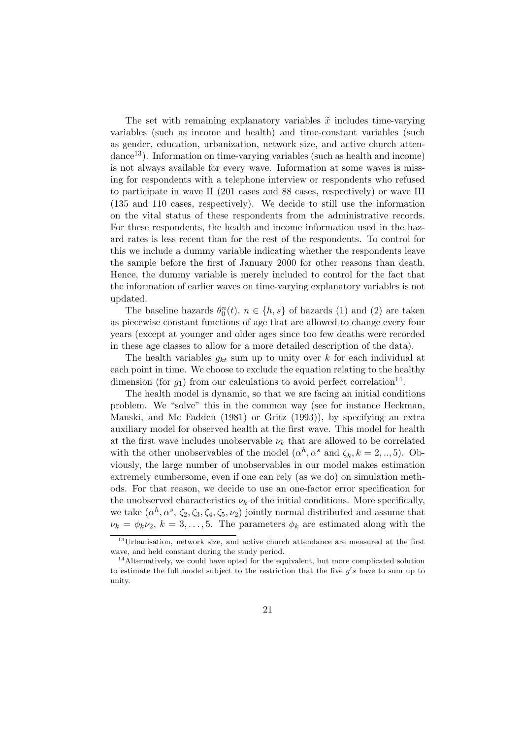The set with remaining explanatory variables  $\tilde{x}$  includes time-varying variables (such as income and health) and time-constant variables (such as gender, education, urbanization, network size, and active church atten- $\rm{dance}^{13}$ ). Information on time-varying variables (such as health and income) is not always available for every wave. Information at some waves is missing for respondents with a telephone interview or respondents who refused to participate in wave II (201 cases and 88 cases, respectively) or wave III (135 and 110 cases, respectively). We decide to still use the information on the vital status of these respondents from the administrative records. For these respondents, the health and income information used in the hazard rates is less recent than for the rest of the respondents. To control for this we include a dummy variable indicating whether the respondents leave the sample before the first of January 2000 for other reasons than death. Hence, the dummy variable is merely included to control for the fact that the information of earlier waves on time-varying explanatory variables is not updated.

The baseline hazards  $\theta_0^n(t)$ ,  $n \in \{h, s\}$  of hazards (1) and (2) are taken as piecewise constant functions of age that are allowed to change every four years (except at younger and older ages since too few deaths were recorded in these age classes to allow for a more detailed description of the data).

The health variables  $g_{kt}$  sum up to unity over k for each individual at each point in time. We choose to exclude the equation relating to the healthy dimension (for  $g_1$ ) from our calculations to avoid perfect correlation<sup>14</sup>.

The health model is dynamic, so that we are facing an initial conditions problem. We "solve" this in the common way (see for instance Heckman, Manski, and Mc Fadden (1981) or Gritz (1993)), by specifying an extra auxiliary model for observed health at the first wave. This model for health at the first wave includes unobservable  $\nu_k$  that are allowed to be correlated with the other unobservables of the model  $(\alpha^h, \alpha^s \text{ and } \zeta_k, k = 2, ..., 5)$ . Obviously, the large number of unobservables in our model makes estimation extremely cumbersome, even if one can rely (as we do) on simulation methods. For that reason, we decide to use an one-factor error specification for the unobserved characteristics  $\nu_k$  of the initial conditions. More specifically, we take  $(\alpha^h, \alpha^s, \zeta_2, \zeta_3, \zeta_4, \zeta_5, \nu_2)$  jointly normal distributed and assume that  $\nu_k = \phi_k \nu_2, k = 3, \ldots, 5$ . The parameters  $\phi_k$  are estimated along with the

<sup>13</sup>Urbanisation, network size, and active church attendance are measured at the first wave, and held constant during the study period.

<sup>&</sup>lt;sup>14</sup>Alternatively, we could have opted for the equivalent, but more complicated solution to estimate the full model subject to the restriction that the five  $g's$  have to sum up to unity.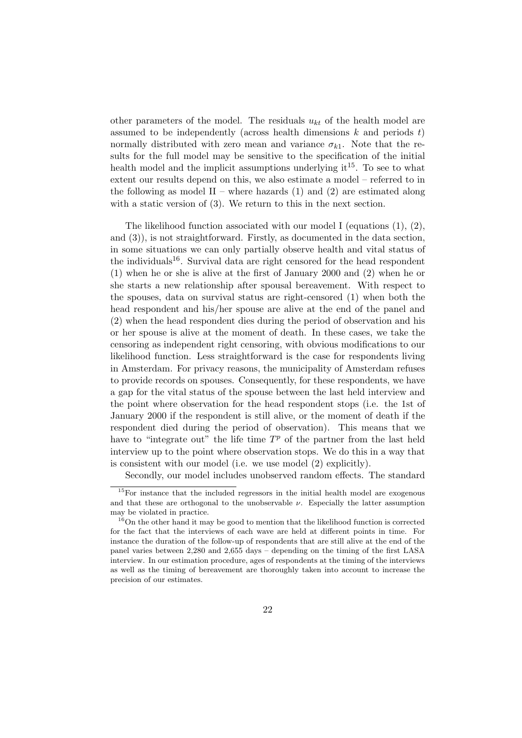other parameters of the model. The residuals  $u_{kt}$  of the health model are assumed to be independently (across health dimensions  $k$  and periods  $t$ ) normally distributed with zero mean and variance  $\sigma_{k1}$ . Note that the results for the full model may be sensitive to the specification of the initial health model and the implicit assumptions underlying  $it^{15}$ . To see to what extent our results depend on this, we also estimate a model – referred to in the following as model  $II$  – where hazards (1) and (2) are estimated along with a static version of (3). We return to this in the next section.

The likelihood function associated with our model I (equations  $(1), (2),$ and (3)), is not straightforward. Firstly, as documented in the data section, in some situations we can only partially observe health and vital status of the individuals<sup>16</sup>. Survival data are right censored for the head respondent (1) when he or she is alive at the first of January 2000 and (2) when he or she starts a new relationship after spousal bereavement. With respect to the spouses, data on survival status are right-censored (1) when both the head respondent and his/her spouse are alive at the end of the panel and (2) when the head respondent dies during the period of observation and his or her spouse is alive at the moment of death. In these cases, we take the censoring as independent right censoring, with obvious modifications to our likelihood function. Less straightforward is the case for respondents living in Amsterdam. For privacy reasons, the municipality of Amsterdam refuses to provide records on spouses. Consequently, for these respondents, we have a gap for the vital status of the spouse between the last held interview and the point where observation for the head respondent stops (i.e. the 1st of January 2000 if the respondent is still alive, or the moment of death if the respondent died during the period of observation). This means that we have to "integrate out" the life time  $T^p$  of the partner from the last held interview up to the point where observation stops. We do this in a way that is consistent with our model (i.e. we use model (2) explicitly).

Secondly, our model includes unobserved random effects. The standard

<sup>&</sup>lt;sup>15</sup>For instance that the included regressors in the initial health model are exogenous and that these are orthogonal to the unobservable  $\nu$ . Especially the latter assumption may be violated in practice.

<sup>&</sup>lt;sup>16</sup>On the other hand it may be good to mention that the likelihood function is corrected for the fact that the interviews of each wave are held at different points in time. For instance the duration of the follow-up of respondents that are still alive at the end of the panel varies between 2,280 and 2,655 days – depending on the timing of the first LASA interview. In our estimation procedure, ages of respondents at the timing of the interviews as well as the timing of bereavement are thoroughly taken into account to increase the precision of our estimates.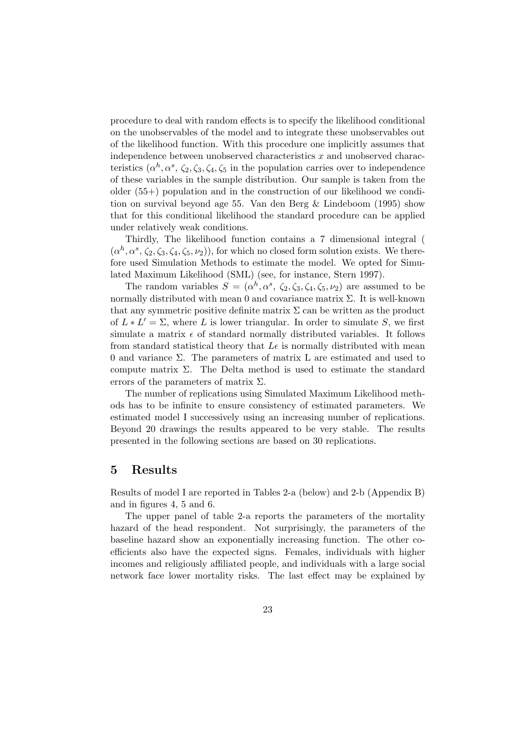procedure to deal with random effects is to specify the likelihood conditional on the unobservables of the model and to integrate these unobservables out of the likelihood function. With this procedure one implicitly assumes that independence between unobserved characteristics  $x$  and unobserved characteristics  $(\alpha^h, \alpha^s, \zeta_2, \zeta_3, \zeta_4, \zeta_5)$  in the population carries over to independence of these variables in the sample distribution. Our sample is taken from the older (55+) population and in the construction of our likelihood we condition on survival beyond age 55. Van den Berg & Lindeboom (1995) show that for this conditional likelihood the standard procedure can be applied under relatively weak conditions.

Thirdly, The likelihood function contains a 7 dimensional integral (  $(\alpha^h, \alpha^s, \zeta_2, \zeta_3, \zeta_4, \zeta_5, \nu_2)$ , for which no closed form solution exists. We therefore used Simulation Methods to estimate the model. We opted for Simulated Maximum Likelihood (SML) (see, for instance, Stern 1997).

The random variables  $S = (\alpha^h, \alpha^s, \zeta_2, \zeta_3, \zeta_4, \zeta_5, \nu_2)$  are assumed to be normally distributed with mean 0 and covariance matrix  $\Sigma$ . It is well-known that any symmetric positive definite matrix  $\Sigma$  can be written as the product of  $L * L' = \Sigma$ , where L is lower triangular. In order to simulate S, we first simulate a matrix  $\epsilon$  of standard normally distributed variables. It follows from standard statistical theory that  $L\epsilon$  is normally distributed with mean 0 and variance Σ. The parameters of matrix L are estimated and used to compute matrix  $\Sigma$ . The Delta method is used to estimate the standard errors of the parameters of matrix  $\Sigma$ .

The number of replications using Simulated Maximum Likelihood methods has to be infinite to ensure consistency of estimated parameters. We estimated model I successively using an increasing number of replications. Beyond 20 drawings the results appeared to be very stable. The results presented in the following sections are based on 30 replications.

#### 5 Results

Results of model I are reported in Tables 2-a (below) and 2-b (Appendix B) and in figures 4, 5 and 6.

The upper panel of table 2-a reports the parameters of the mortality hazard of the head respondent. Not surprisingly, the parameters of the baseline hazard show an exponentially increasing function. The other coefficients also have the expected signs. Females, individuals with higher incomes and religiously affiliated people, and individuals with a large social network face lower mortality risks. The last effect may be explained by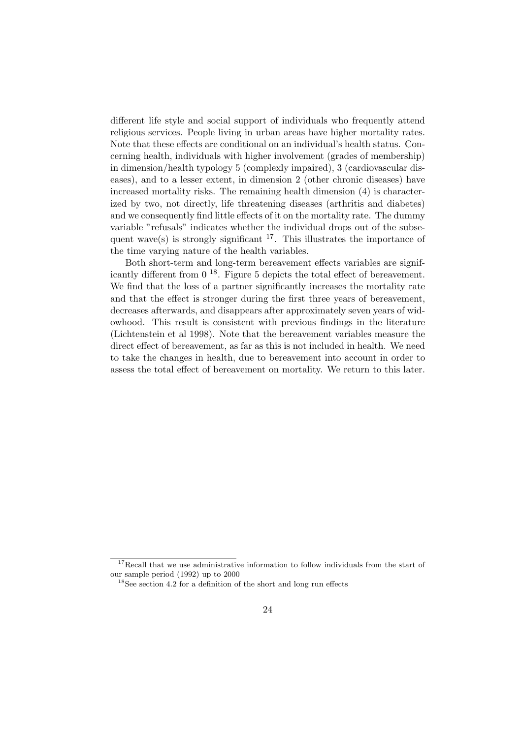different life style and social support of individuals who frequently attend religious services. People living in urban areas have higher mortality rates. Note that these effects are conditional on an individual's health status. Concerning health, individuals with higher involvement (grades of membership) in dimension/health typology 5 (complexly impaired), 3 (cardiovascular diseases), and to a lesser extent, in dimension 2 (other chronic diseases) have increased mortality risks. The remaining health dimension (4) is characterized by two, not directly, life threatening diseases (arthritis and diabetes) and we consequently find little effects of it on the mortality rate. The dummy variable "refusals" indicates whether the individual drops out of the subsequent wave(s) is strongly significant  $17$ . This illustrates the importance of the time varying nature of the health variables.

Both short-term and long-term bereavement effects variables are significantly different from  $0^{18}$ . Figure 5 depicts the total effect of bereavement. We find that the loss of a partner significantly increases the mortality rate and that the effect is stronger during the first three years of bereavement, decreases afterwards, and disappears after approximately seven years of widowhood. This result is consistent with previous findings in the literature (Lichtenstein et al 1998). Note that the bereavement variables measure the direct effect of bereavement, as far as this is not included in health. We need to take the changes in health, due to bereavement into account in order to assess the total effect of bereavement on mortality. We return to this later.

<sup>&</sup>lt;sup>17</sup>Recall that we use administrative information to follow individuals from the start of our sample period (1992) up to 2000

<sup>18</sup>See section 4.2 for a definition of the short and long run effects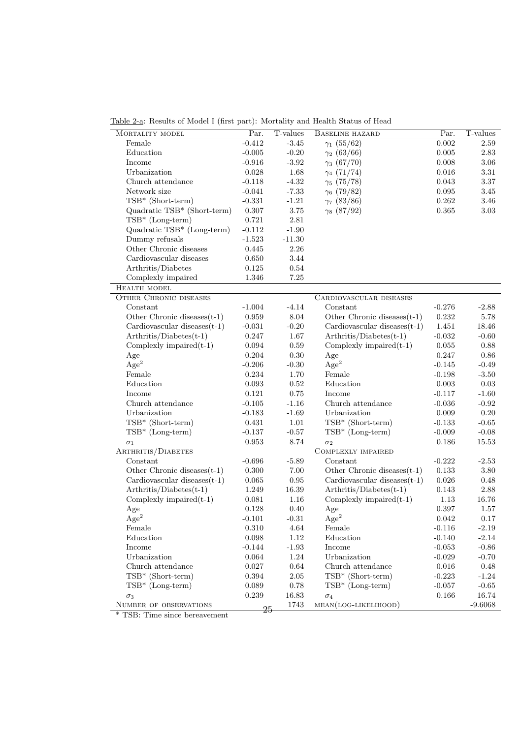Table 2-a: Results of Model I (first part): Mortality and Health Status of Head

| MORTALITY MODEL                 | Par.        | T-values | BASELINE HAZARD                 | Par.        | T-values  |
|---------------------------------|-------------|----------|---------------------------------|-------------|-----------|
| Female                          | $-0.412$    | $-3.45$  | $\gamma_1$ (55/62)              | 0.002       | 2.59      |
| Education                       | $-0.005$    | $-0.20$  | $\gamma_2$ (63/66)              | 0.005       | 2.83      |
| Income                          | $-0.916$    | $-3.92$  | $\gamma_3(67/70)$               | 0.008       | 3.06      |
| Urbanization                    | 0.028       | 1.68     | $\gamma_4$ (71/74)              | 0.016       | 3.31      |
| Church attendance               | $-0.118$    | $-4.32$  | $\gamma_5(75/78)$               | 0.043       | 3.37      |
| Network size                    | $-0.041$    | $-7.33$  | $\gamma_6$ (79/82)              | 0.095       | 3.45      |
| TSB* (Short-term)               | $-0.331$    | $-1.21$  | $\gamma_7$ (83/86)              | 0.262       | 3.46      |
| Quadratic TSB* (Short-term)     | $0.307\,$   | $3.75\,$ | $\gamma_8$ (87/92)              | $\,0.365\,$ | 3.03      |
| $TSB* (Long-term)$              | $\rm 0.721$ | 2.81     |                                 |             |           |
| Quadratic TSB* (Long-term)      | $-0.112$    | $-1.90$  |                                 |             |           |
| Dummy refusals                  | $-1.523$    | $-11.30$ |                                 |             |           |
| Other Chronic diseases          | 0.445       | $2.26\,$ |                                 |             |           |
| Cardiovascular diseases         | 0.650       | 3.44     |                                 |             |           |
| Arthritis/Diabetes              | 0.125       | 0.54     |                                 |             |           |
| Complexly impaired              | 1.346       | $7.25\,$ |                                 |             |           |
| HEALTH MODEL                    |             |          |                                 |             |           |
| <b>OTHER CHRONIC DISEASES</b>   |             |          | CARDIOVASCULAR DISEASES         |             |           |
| Constant                        | $-1.004$    | $-4.14$  | Constant                        | $-0.276$    | $-2.88$   |
| Other Chronic diseases $(t-1)$  | 0.959       | 8.04     | Other Chronic diseases $(t-1)$  | 0.232       | 5.78      |
| Cardiovascular diseases $(t-1)$ | $-0.031$    | $-0.20$  | Cardiovascular diseases $(t-1)$ | $1.451\,$   | 18.46     |
| $Arthritis/Diabetes(t-1)$       | 0.247       | 1.67     | $Arthritis/Diabetes(t-1)$       | $-0.032$    | $-0.60$   |
| Complexly impaired $(t-1)$      | 0.094       | 0.59     | Complexly impaired $(t-1)$      | 0.055       | 0.88      |
| Age                             | 0.204       | 0.30     | Age                             | 0.247       | $0.86\,$  |
| Age <sup>2</sup>                | $-0.206$    | $-0.30$  | Age <sup>2</sup>                | $-0.145$    | $-0.49$   |
| Female                          | 0.234       | 1.70     | Female                          | $-0.198$    | $-3.50$   |
| Education                       | 0.093       | 0.52     | Education                       | 0.003       | 0.03      |
| Income                          | 0.121       | 0.75     | Income                          | $-0.117$    | $-1.60$   |
| Church attendance               | $-0.105$    | $-1.16$  | Church attendance               | $-0.036$    | $-0.92$   |
| Urbanization                    | $-0.183$    | $-1.69$  | Urbanization                    | 0.009       | 0.20      |
| TSB* (Short-term)               |             |          | TSB* (Short-term)               |             |           |
| $TSB* (Long-term)$              | 0.431       | 1.01     | $TSB* (Long-term)$              | $-0.133$    | $-0.65$   |
|                                 | $-0.137$    | $-0.57$  |                                 | $-0.009$    | $-0.08$   |
| $\sigma_1$                      | 0.953       | 8.74     | $\sigma_2$                      | 0.186       | 15.53     |
| ARTHRITIS/DIABETES              |             |          | COMPLEXLY IMPAIRED              |             |           |
| Constant                        | $-0.696$    | $-5.89$  | Constant                        | $-0.222$    | $-2.53$   |
| Other Chronic diseases $(t-1)$  | 0.300       | 7.00     | Other Chronic diseases $(t-1)$  | 0.133       | 3.80      |
| Cardiovascular diseases $(t-1)$ | $\,0.065\,$ | 0.95     | Cardiovascular diseases $(t-1)$ | 0.026       | 0.48      |
| $Arthritis/Diabetes(t-1)$       | 1.249       | 16.39    | $Arthriis/Diabetes(t-1)$        | 0.143       | 2.88      |
| Complexly impaired $(t-1)$      | 0.081       | 1.16     | Complexly impaired $(t-1)$      | 1.13        | 16.76     |
| Age                             | 0.128       | 0.40     | Age                             | 0.397       | 1.57      |
| $\rm{Age}^2$                    | $-0.101$    | $-0.31$  | Age <sup>2</sup>                | 0.042       | 0.17      |
| Female                          | $0.310\,$   | $4.64\,$ | Female                          | $-0.116$    | $-2.19$   |
| Education                       | $\,0.098\,$ | 1.12     | Education                       | $-0.140$    | $-2.14$   |
| Income                          | $-0.144$    | $-1.93$  | Income                          | $-0.053$    | $-0.86$   |
| Urbanization                    | 0.064       | 1.24     | Urbanization                    | $-0.029$    | $-0.70$   |
| Church attendance               | $0.027\,$   | $0.64\,$ | Church attendance               | $\,0.016\,$ | 0.48      |
| $TSB*$ (Short-term)             | 0.394       | 2.05     | $TSB*$ (Short-term)             | $-0.223$    | $-1.24$   |
| $TSB* (Long-term)$              | $\,0.089\,$ | $0.78\,$ | $TSB* (Long-term)$              | $-0.057$    | $-0.65$   |
| $\sigma_3$                      | 0.239       | 16.83    | $\sigma_4$                      | $0.166\,$   | 16.74     |
| NUMBER OF OBSERVATIONS          | 25          | 1743     | $MEAN (LOG-LIKELIHOOD)$         |             | $-9.6068$ |

\* TSB: Time since bereavement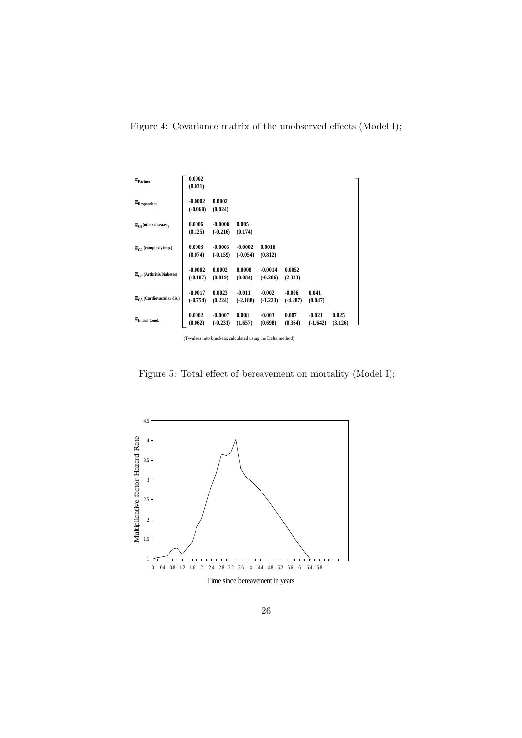Figure 4: Covariance matrix of the unobserved effects (Model I);

| $\alpha_{\text{Partner}}$          | 0.0002<br>(0.031)                                           |                         |                         |                         |                        |                        |                  |  |
|------------------------------------|-------------------------------------------------------------|-------------------------|-------------------------|-------------------------|------------------------|------------------------|------------------|--|
| $\alpha$ <sub>Respondent</sub>     | $-0.0002$<br>$(-0.060)$                                     | 0.0002<br>(0.024)       |                         |                         |                        |                        |                  |  |
| $\alpha_{C1}$ (other diseases)     | 0.0006<br>(0.125)                                           | $-0.0008$<br>$(-0.216)$ | 0.005<br>(0.174)        |                         |                        |                        |                  |  |
| $\alpha_{G2}$ (complexly imp.)     | 0.0003<br>(0.074)                                           | $-0.0003$<br>$(-0.159)$ | $-0.0002$<br>$(-0.054)$ | 0.0016<br>(0.812)       |                        |                        |                  |  |
| $\alpha_{C4}$ (Arthritis/Diabetes) | $-0.0002$<br>$(-0.107)$                                     | 0.0002<br>(0.019)       | 0.0008<br>(0.084)       | $-0.0014$<br>$(-0.206)$ | 0.0052<br>(2.333)      |                        |                  |  |
| $\alpha_{c}$ (Cardiovascular dis.) | $-0.0017$<br>$(-0.754)$                                     | 0.0023<br>(0.224)       | $-0.011$<br>$(-2.188)$  | $-0.002$<br>$(-1.223)$  | $-0.006$<br>$(-4.287)$ | 0.041<br>(8.047)       |                  |  |
| $\alpha$ Initial Cond.             | 0.0002<br>(0.062)                                           | $-0.0007$<br>$(-0.231)$ | 0.008<br>(1.657)        | $-0.003$<br>(0.698)     | 0.007<br>(0.364)       | $-0.021$<br>$(-1.642)$ | 0.025<br>(3.126) |  |
|                                    | (T-values into brackets; calculated using the Delta method) |                         |                         |                         |                        |                        |                  |  |

Figure 5: Total effect of bereavement on mortality (Model I);

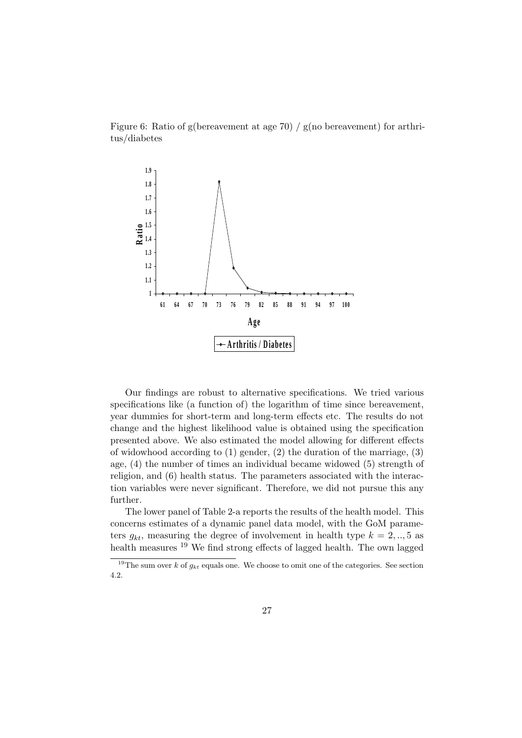Figure 6: Ratio of g(bereavement at age 70) / g(no bereavement) for arthritus/diabetes



Our findings are robust to alternative specifications. We tried various specifications like (a function of) the logarithm of time since bereavement, year dummies for short-term and long-term effects etc. The results do not change and the highest likelihood value is obtained using the specification presented above. We also estimated the model allowing for different effects of widowhood according to  $(1)$  gender,  $(2)$  the duration of the marriage,  $(3)$ age, (4) the number of times an individual became widowed (5) strength of religion, and (6) health status. The parameters associated with the interaction variables were never significant. Therefore, we did not pursue this any further.

The lower panel of Table 2-a reports the results of the health model. This concerns estimates of a dynamic panel data model, with the GoM parameters  $g_{kt}$ , measuring the degree of involvement in health type  $k = 2, ..., 5$  as health measures <sup>19</sup> We find strong effects of lagged health. The own lagged

<sup>&</sup>lt;sup>19</sup>The sum over k of  $g_{kt}$  equals one. We choose to omit one of the categories. See section 4.2.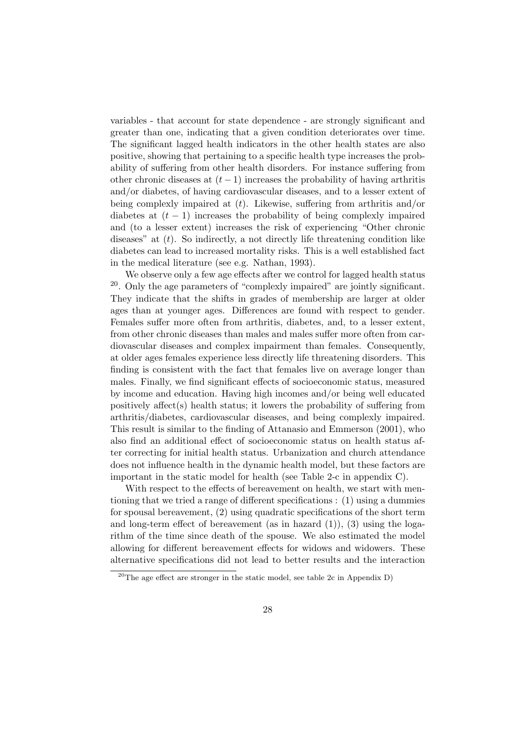variables - that account for state dependence - are strongly significant and greater than one, indicating that a given condition deteriorates over time. The significant lagged health indicators in the other health states are also positive, showing that pertaining to a specific health type increases the probability of suffering from other health disorders. For instance suffering from other chronic diseases at  $(t-1)$  increases the probability of having arthritis and/or diabetes, of having cardiovascular diseases, and to a lesser extent of being complexly impaired at  $(t)$ . Likewise, suffering from arthritis and/or diabetes at  $(t - 1)$  increases the probability of being complexly impaired and (to a lesser extent) increases the risk of experiencing "Other chronic diseases" at  $(t)$ . So indirectly, a not directly life threatening condition like diabetes can lead to increased mortality risks. This is a well established fact in the medical literature (see e.g. Nathan, 1993).

We observe only a few age effects after we control for lagged health status  $20$ . Only the age parameters of "complexly impaired" are jointly significant. They indicate that the shifts in grades of membership are larger at older ages than at younger ages. Differences are found with respect to gender. Females suffer more often from arthritis, diabetes, and, to a lesser extent, from other chronic diseases than males and males suffer more often from cardiovascular diseases and complex impairment than females. Consequently, at older ages females experience less directly life threatening disorders. This finding is consistent with the fact that females live on average longer than males. Finally, we find significant effects of socioeconomic status, measured by income and education. Having high incomes and/or being well educated positively affect(s) health status; it lowers the probability of suffering from arthritis/diabetes, cardiovascular diseases, and being complexly impaired. This result is similar to the finding of Attanasio and Emmerson (2001), who also find an additional effect of socioeconomic status on health status after correcting for initial health status. Urbanization and church attendance does not influence health in the dynamic health model, but these factors are important in the static model for health (see Table 2-c in appendix C).

With respect to the effects of bereavement on health, we start with mentioning that we tried a range of different specifications : (1) using a dummies for spousal bereavement, (2) using quadratic specifications of the short term and long-term effect of bereavement (as in hazard  $(1)$ ),  $(3)$  using the logarithm of the time since death of the spouse. We also estimated the model allowing for different bereavement effects for widows and widowers. These alternative specifications did not lead to better results and the interaction

<sup>&</sup>lt;sup>20</sup>The age effect are stronger in the static model, see table  $2c$  in Appendix D)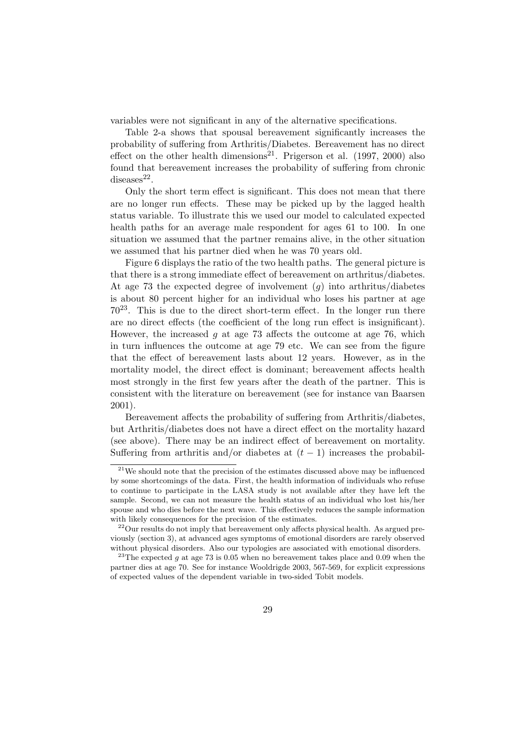variables were not significant in any of the alternative specifications.

Table 2-a shows that spousal bereavement significantly increases the probability of suffering from Arthritis/Diabetes. Bereavement has no direct effect on the other health dimensions<sup>21</sup>. Prigerson et al.  $(1997, 2000)$  also found that bereavement increases the probability of suffering from chronic  $diseases<sup>22</sup>$ .

Only the short term effect is significant. This does not mean that there are no longer run effects. These may be picked up by the lagged health status variable. To illustrate this we used our model to calculated expected health paths for an average male respondent for ages 61 to 100. In one situation we assumed that the partner remains alive, in the other situation we assumed that his partner died when he was 70 years old.

Figure 6 displays the ratio of the two health paths. The general picture is that there is a strong immediate effect of bereavement on arthritus/diabetes. At age 73 the expected degree of involvement  $(q)$  into arthritus/diabetes is about 80 percent higher for an individual who loses his partner at age  $70^{23}$ . This is due to the direct short-term effect. In the longer run there are no direct effects (the coefficient of the long run effect is insignificant). However, the increased  $q$  at age 73 affects the outcome at age 76, which in turn influences the outcome at age 79 etc. We can see from the figure that the effect of bereavement lasts about 12 years. However, as in the mortality model, the direct effect is dominant; bereavement affects health most strongly in the first few years after the death of the partner. This is consistent with the literature on bereavement (see for instance van Baarsen 2001).

Bereavement affects the probability of suffering from Arthritis/diabetes, but Arthritis/diabetes does not have a direct effect on the mortality hazard (see above). There may be an indirect effect of bereavement on mortality. Suffering from arthritis and/or diabetes at  $(t-1)$  increases the probabil-

 $21$ We should note that the precision of the estimates discussed above may be influenced by some shortcomings of the data. First, the health information of individuals who refuse to continue to participate in the LASA study is not available after they have left the sample. Second, we can not measure the health status of an individual who lost his/her spouse and who dies before the next wave. This effectively reduces the sample information with likely consequences for the precision of the estimates.

 $^{22}$ Our results do not imply that bereavement only affects physical health. As argued previously (section 3), at advanced ages symptoms of emotional disorders are rarely observed without physical disorders. Also our typologies are associated with emotional disorders.

<sup>&</sup>lt;sup>23</sup>The expected g at age 73 is 0.05 when no bereavement takes place and 0.09 when the partner dies at age 70. See for instance Wooldrigde 2003, 567-569, for explicit expressions of expected values of the dependent variable in two-sided Tobit models.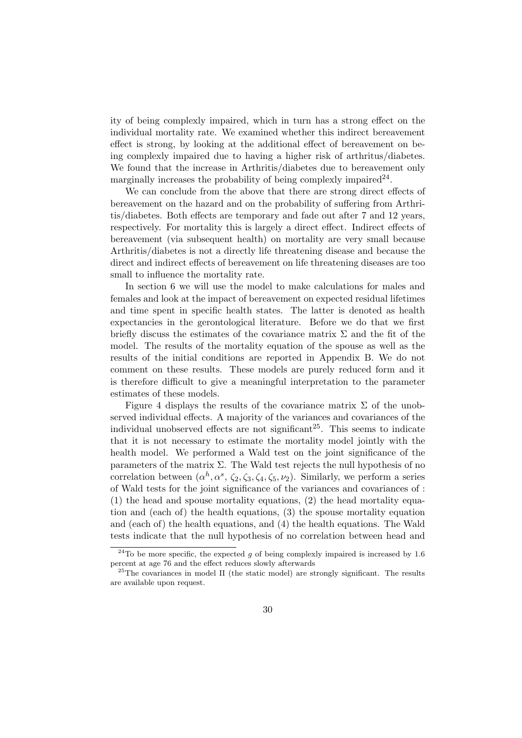ity of being complexly impaired, which in turn has a strong effect on the individual mortality rate. We examined whether this indirect bereavement effect is strong, by looking at the additional effect of bereavement on being complexly impaired due to having a higher risk of arthritus/diabetes. We found that the increase in Arthritis/diabetes due to bereavement only marginally increases the probability of being complexly impaired  $2^2$ .

We can conclude from the above that there are strong direct effects of bereavement on the hazard and on the probability of suffering from Arthritis/diabetes. Both effects are temporary and fade out after 7 and 12 years, respectively. For mortality this is largely a direct effect. Indirect effects of bereavement (via subsequent health) on mortality are very small because Arthritis/diabetes is not a directly life threatening disease and because the direct and indirect effects of bereavement on life threatening diseases are too small to influence the mortality rate.

In section 6 we will use the model to make calculations for males and females and look at the impact of bereavement on expected residual lifetimes and time spent in specific health states. The latter is denoted as health expectancies in the gerontological literature. Before we do that we first briefly discuss the estimates of the covariance matrix  $\Sigma$  and the fit of the model. The results of the mortality equation of the spouse as well as the results of the initial conditions are reported in Appendix B. We do not comment on these results. These models are purely reduced form and it is therefore difficult to give a meaningful interpretation to the parameter estimates of these models.

Figure 4 displays the results of the covariance matrix  $\Sigma$  of the unobserved individual effects. A majority of the variances and covariances of the individual unobserved effects are not significant<sup>25</sup>. This seems to indicate that it is not necessary to estimate the mortality model jointly with the health model. We performed a Wald test on the joint significance of the parameters of the matrix  $\Sigma$ . The Wald test rejects the null hypothesis of no correlation between  $(\alpha^h, \alpha^s, \zeta_2, \zeta_3, \zeta_4, \zeta_5, \nu_2)$ . Similarly, we perform a series of Wald tests for the joint significance of the variances and covariances of : (1) the head and spouse mortality equations, (2) the head mortality equation and (each of) the health equations, (3) the spouse mortality equation and (each of) the health equations, and (4) the health equations. The Wald tests indicate that the null hypothesis of no correlation between head and

<sup>&</sup>lt;sup>24</sup>To be more specific, the expected q of being complexly impaired is increased by 1.6 percent at age 76 and the effect reduces slowly afterwards

<sup>&</sup>lt;sup>25</sup>The covariances in model II (the static model) are strongly significant. The results are available upon request.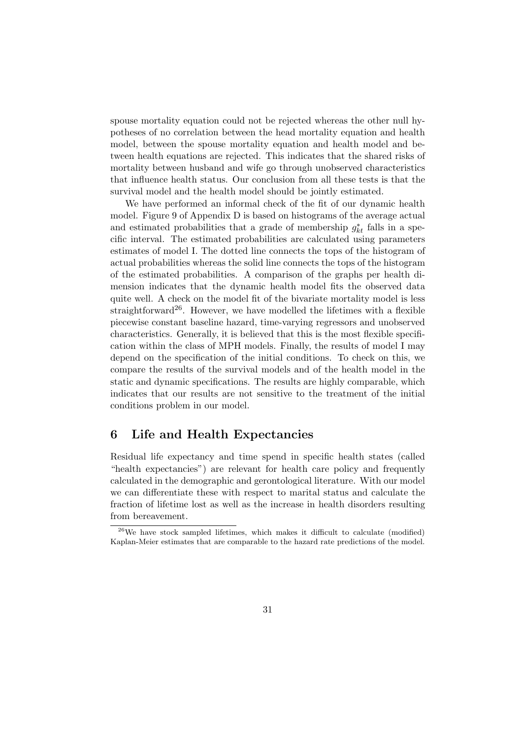spouse mortality equation could not be rejected whereas the other null hypotheses of no correlation between the head mortality equation and health model, between the spouse mortality equation and health model and between health equations are rejected. This indicates that the shared risks of mortality between husband and wife go through unobserved characteristics that influence health status. Our conclusion from all these tests is that the survival model and the health model should be jointly estimated.

We have performed an informal check of the fit of our dynamic health model. Figure 9 of Appendix D is based on histograms of the average actual and estimated probabilities that a grade of membership  $g_{kt}^*$  falls in a specific interval. The estimated probabilities are calculated using parameters estimates of model I. The dotted line connects the tops of the histogram of actual probabilities whereas the solid line connects the tops of the histogram of the estimated probabilities. A comparison of the graphs per health dimension indicates that the dynamic health model fits the observed data quite well. A check on the model fit of the bivariate mortality model is less straightforward<sup>26</sup>. However, we have modelled the lifetimes with a flexible piecewise constant baseline hazard, time-varying regressors and unobserved characteristics. Generally, it is believed that this is the most flexible specification within the class of MPH models. Finally, the results of model I may depend on the specification of the initial conditions. To check on this, we compare the results of the survival models and of the health model in the static and dynamic specifications. The results are highly comparable, which indicates that our results are not sensitive to the treatment of the initial conditions problem in our model.

## 6 Life and Health Expectancies

Residual life expectancy and time spend in specific health states (called "health expectancies") are relevant for health care policy and frequently calculated in the demographic and gerontological literature. With our model we can differentiate these with respect to marital status and calculate the fraction of lifetime lost as well as the increase in health disorders resulting from bereavement.

 $26$ We have stock sampled lifetimes, which makes it difficult to calculate (modified) Kaplan-Meier estimates that are comparable to the hazard rate predictions of the model.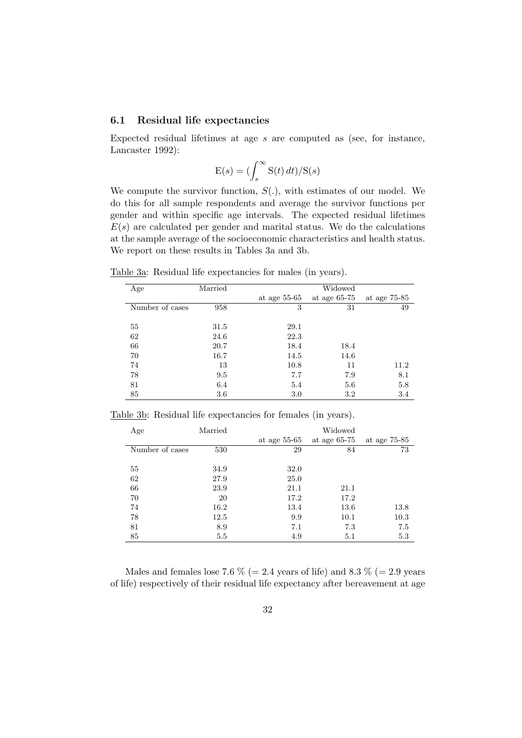#### 6.1 Residual life expectancies

Expected residual lifetimes at age  $s$  are computed as (see, for instance, Lancaster 1992):

$$
E(s) = \left(\int_s^\infty S(t) \, dt\right) / S(s)
$$

We compute the survivor function,  $S(.)$ , with estimates of our model. We do this for all sample respondents and average the survivor functions per gender and within specific age intervals. The expected residual lifetimes  $E(s)$  are calculated per gender and marital status. We do the calculations at the sample average of the socioeconomic characteristics and health status. We report on these results in Tables 3a and 3b.

Table 3a: Residual life expectancies for males (in years).

| Age             | Married |                | Widowed        |              |
|-----------------|---------|----------------|----------------|--------------|
|                 |         | at age $55-65$ | at age $65-75$ | at age 75-85 |
| Number of cases | 958     | 3              | 31             | 49           |
|                 |         |                |                |              |
| 55              | 31.5    | 29.1           |                |              |
| 62              | 24.6    | 22.3           |                |              |
| 66              | 20.7    | 18.4           | 18.4           |              |
| 70              | 16.7    | 14.5           | 14.6           |              |
| 74              | 13      | 10.8           | 11             | 11.2         |
| 78              | 9.5     | 7.7            | 7.9            | 8.1          |
| 81              | 6.4     | 5.4            | 5.6            | 5.8          |
| 85              | 3.6     | 3.0            | 3.2            | 3.4          |

Table 3b: Residual life expectancies for females (in years).

| Age             | Married | Widowed        |                |              |  |  |
|-----------------|---------|----------------|----------------|--------------|--|--|
|                 |         | at age $55-65$ | at age $65-75$ | at age 75-85 |  |  |
| Number of cases | 530     | 29             | 84             | 73           |  |  |
|                 |         |                |                |              |  |  |
| 55              | 34.9    | 32.0           |                |              |  |  |
| 62              | 27.9    | 25.0           |                |              |  |  |
| 66              | 23.9    | 21.1           | 21.1           |              |  |  |
| 70              | 20      | 17.2           | 17.2           |              |  |  |
| 74              | 16.2    | 13.4           | 13.6           | 13.8         |  |  |
| 78              | 12.5    | 9.9            | 10.1           | 10.3         |  |  |
| 81              | 8.9     | 7.1            | 7.3            | 7.5          |  |  |
| 85              | $5.5\,$ | 4.9            | 5.1            | 5.3          |  |  |

Males and females lose 7.6  $\%$  (= 2.4 years of life) and 8.3  $\%$  (= 2.9 years of life) respectively of their residual life expectancy after bereavement at age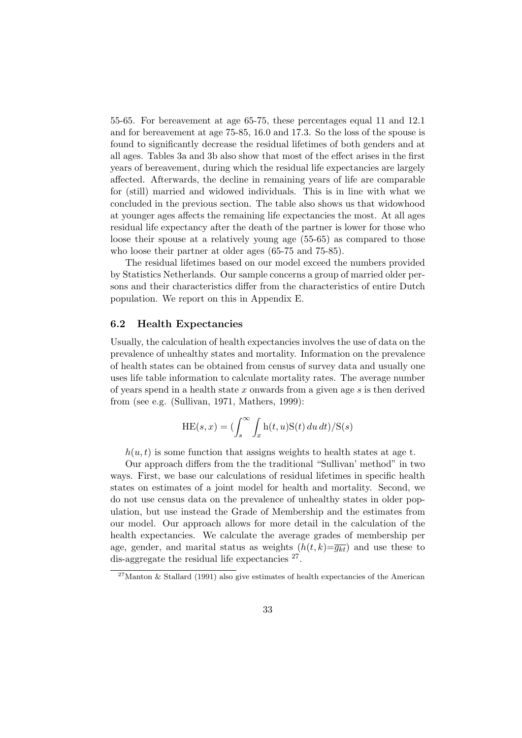55-65. For bereavement at age 65-75, these percentages equal 11 and 12.1 and for bereavement at age 75-85, 16.0 and 17.3. So the loss of the spouse is found to significantly decrease the residual lifetimes of both genders and at all ages. Tables 3a and 3b also show that most of the effect arises in the first years of bereavement, during which the residual life expectancies are largely affected. Afterwards, the decline in remaining years of life are comparable for (still) married and widowed individuals. This is in line with what we concluded in the previous section. The table also shows us that widowhood at younger ages affects the remaining life expectancies the most. At all ages residual life expectancy after the death of the partner is lower for those who loose their spouse at a relatively young age (55-65) as compared to those who loose their partner at older ages (65-75 and 75-85).

The residual lifetimes based on our model exceed the numbers provided by Statistics Netherlands. Our sample concerns a group of married older persons and their characteristics differ from the characteristics of entire Dutch population. We report on this in Appendix E.

#### 6.2 Health Expectancies

Usually, the calculation of health expectancies involves the use of data on the prevalence of unhealthy states and mortality. Information on the prevalence of health states can be obtained from census of survey data and usually one uses life table information to calculate mortality rates. The average number of years spend in a health state  $x$  onwards from a given age  $s$  is then derived from (see e.g. (Sullivan, 1971, Mathers, 1999):

$$
HE(s, x) = \left(\int_s^\infty \int_x h(t, u) S(t) \, du \, dt\right) / S(s)
$$

 $h(u, t)$  is some function that assigns weights to health states at age t.

Our approach differs from the the traditional "Sullivan' method" in two ways. First, we base our calculations of residual lifetimes in specific health states on estimates of a joint model for health and mortality. Second, we do not use census data on the prevalence of unhealthy states in older population, but use instead the Grade of Membership and the estimates from our model. Our approach allows for more detail in the calculation of the health expectancies. We calculate the average grades of membership per age, gender, and marital status as weights  $(h(t, k)=\overline{g_{kt}})$  and use these to dis-aggregate the residual life expectancies  $27$ .

 $^{27}$ Manton & Stallard (1991) also give estimates of health expectancies of the American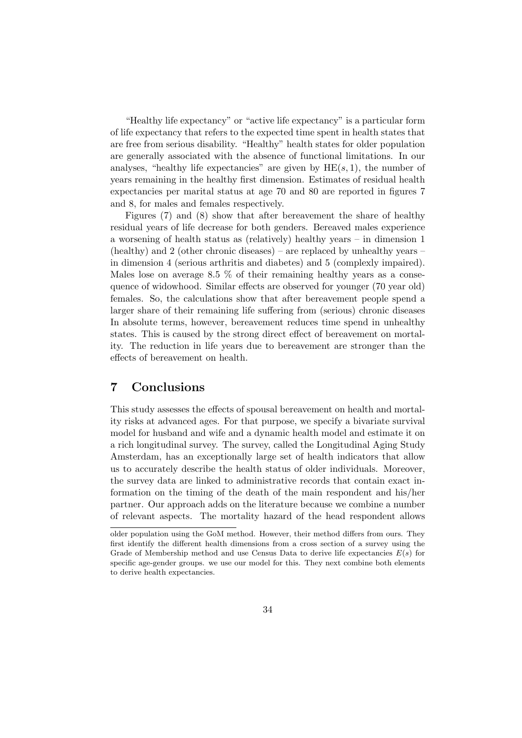"Healthy life expectancy" or "active life expectancy" is a particular form of life expectancy that refers to the expected time spent in health states that are free from serious disability. "Healthy" health states for older population are generally associated with the absence of functional limitations. In our analyses, "healthy life expectancies" are given by  $HE(s, 1)$ , the number of years remaining in the healthy first dimension. Estimates of residual health expectancies per marital status at age 70 and 80 are reported in figures 7 and 8, for males and females respectively.

Figures (7) and (8) show that after bereavement the share of healthy residual years of life decrease for both genders. Bereaved males experience a worsening of health status as (relatively) healthy years – in dimension 1 (healthy) and 2 (other chronic diseases) – are replaced by unhealthy years – in dimension 4 (serious arthritis and diabetes) and 5 (complexly impaired). Males lose on average 8.5  $\%$  of their remaining healthy years as a consequence of widowhood. Similar effects are observed for younger (70 year old) females. So, the calculations show that after bereavement people spend a larger share of their remaining life suffering from (serious) chronic diseases In absolute terms, however, bereavement reduces time spend in unhealthy states. This is caused by the strong direct effect of bereavement on mortality. The reduction in life years due to bereavement are stronger than the effects of bereavement on health.

### 7 Conclusions

This study assesses the effects of spousal bereavement on health and mortality risks at advanced ages. For that purpose, we specify a bivariate survival model for husband and wife and a dynamic health model and estimate it on a rich longitudinal survey. The survey, called the Longitudinal Aging Study Amsterdam, has an exceptionally large set of health indicators that allow us to accurately describe the health status of older individuals. Moreover, the survey data are linked to administrative records that contain exact information on the timing of the death of the main respondent and his/her partner. Our approach adds on the literature because we combine a number of relevant aspects. The mortality hazard of the head respondent allows

older population using the GoM method. However, their method differs from ours. They first identify the different health dimensions from a cross section of a survey using the Grade of Membership method and use Census Data to derive life expectancies  $E(s)$  for specific age-gender groups. we use our model for this. They next combine both elements to derive health expectancies.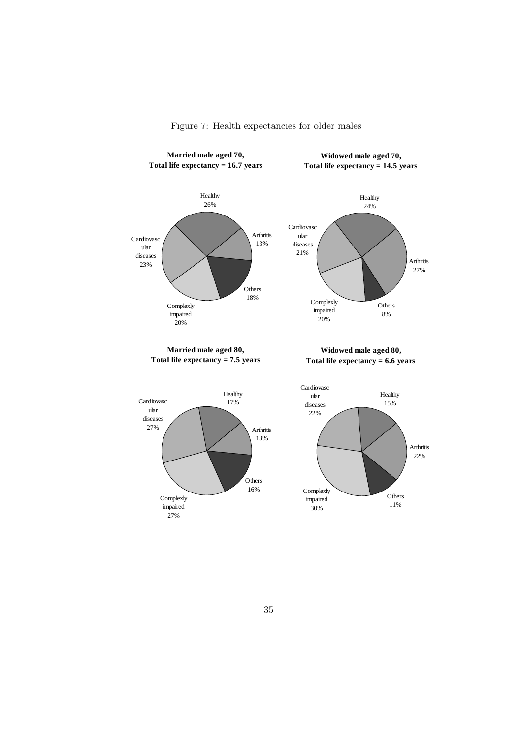

Figure 7: Health expectancies for older males

**Married male aged 80, Total life expectancy = 7.5 years**

**Widowed male aged 80, Total life expectancy = 6.6 years**



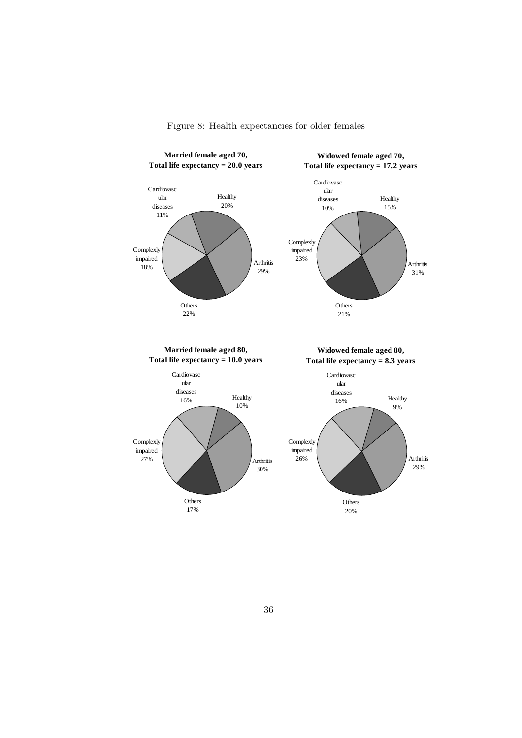

Figure 8: Health expectancies for older females

**Total life expectancy = 10.0 years**

**Total life expectancy = 8.3 years**

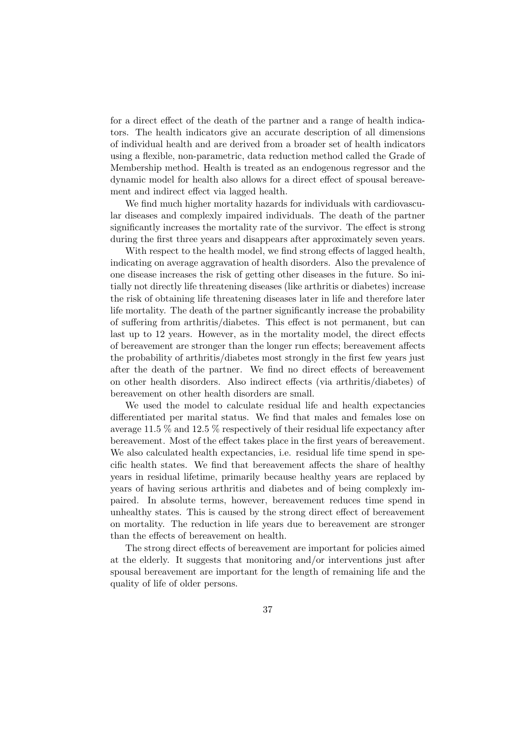for a direct effect of the death of the partner and a range of health indicators. The health indicators give an accurate description of all dimensions of individual health and are derived from a broader set of health indicators using a flexible, non-parametric, data reduction method called the Grade of Membership method. Health is treated as an endogenous regressor and the dynamic model for health also allows for a direct effect of spousal bereavement and indirect effect via lagged health.

We find much higher mortality hazards for individuals with cardiovascular diseases and complexly impaired individuals. The death of the partner significantly increases the mortality rate of the survivor. The effect is strong during the first three years and disappears after approximately seven years.

With respect to the health model, we find strong effects of lagged health, indicating on average aggravation of health disorders. Also the prevalence of one disease increases the risk of getting other diseases in the future. So initially not directly life threatening diseases (like arthritis or diabetes) increase the risk of obtaining life threatening diseases later in life and therefore later life mortality. The death of the partner significantly increase the probability of suffering from arthritis/diabetes. This effect is not permanent, but can last up to 12 years. However, as in the mortality model, the direct effects of bereavement are stronger than the longer run effects; bereavement affects the probability of arthritis/diabetes most strongly in the first few years just after the death of the partner. We find no direct effects of bereavement on other health disorders. Also indirect effects (via arthritis/diabetes) of bereavement on other health disorders are small.

We used the model to calculate residual life and health expectancies differentiated per marital status. We find that males and females lose on average 11.5 % and 12.5 % respectively of their residual life expectancy after bereavement. Most of the effect takes place in the first years of bereavement. We also calculated health expectancies, i.e. residual life time spend in specific health states. We find that bereavement affects the share of healthy years in residual lifetime, primarily because healthy years are replaced by years of having serious arthritis and diabetes and of being complexly impaired. In absolute terms, however, bereavement reduces time spend in unhealthy states. This is caused by the strong direct effect of bereavement on mortality. The reduction in life years due to bereavement are stronger than the effects of bereavement on health.

The strong direct effects of bereavement are important for policies aimed at the elderly. It suggests that monitoring and/or interventions just after spousal bereavement are important for the length of remaining life and the quality of life of older persons.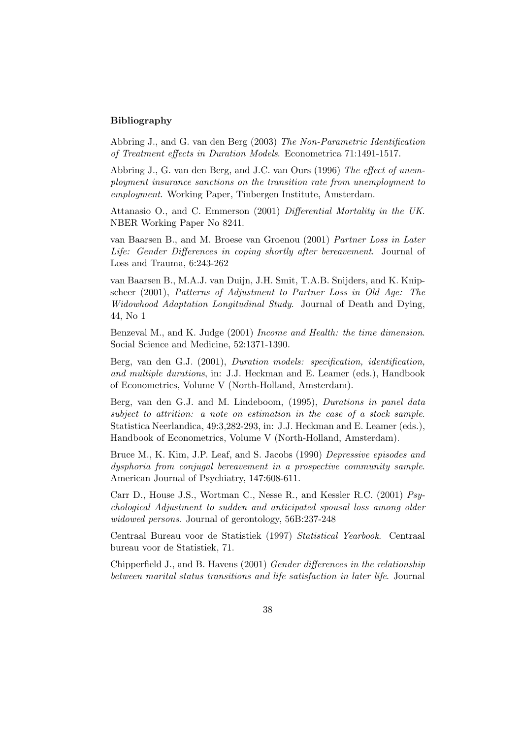#### Bibliography

Abbring J., and G. van den Berg (2003) The Non-Parametric Identification of Treatment effects in Duration Models. Econometrica 71:1491-1517.

Abbring J., G. van den Berg, and J.C. van Ours (1996) The effect of unemployment insurance sanctions on the transition rate from unemployment to employment. Working Paper, Tinbergen Institute, Amsterdam.

Attanasio O., and C. Emmerson (2001) Differential Mortality in the UK. NBER Working Paper No 8241.

van Baarsen B., and M. Broese van Groenou (2001) Partner Loss in Later Life: Gender Differences in coping shortly after bereavement. Journal of Loss and Trauma, 6:243-262

van Baarsen B., M.A.J. van Duijn, J.H. Smit, T.A.B. Snijders, and K. Knipscheer (2001), Patterns of Adjustment to Partner Loss in Old Age: The Widowhood Adaptation Longitudinal Study. Journal of Death and Dying, 44, No 1

Benzeval M., and K. Judge (2001) Income and Health: the time dimension. Social Science and Medicine, 52:1371-1390.

Berg, van den G.J. (2001), Duration models: specification, identification, and multiple durations, in: J.J. Heckman and E. Leamer (eds.), Handbook of Econometrics, Volume V (North-Holland, Amsterdam).

Berg, van den G.J. and M. Lindeboom, (1995), Durations in panel data subject to attrition: a note on estimation in the case of a stock sample. Statistica Neerlandica, 49:3,282-293, in: J.J. Heckman and E. Leamer (eds.), Handbook of Econometrics, Volume V (North-Holland, Amsterdam).

Bruce M., K. Kim, J.P. Leaf, and S. Jacobs (1990) Depressive episodes and dysphoria from conjugal bereavement in a prospective community sample. American Journal of Psychiatry, 147:608-611.

Carr D., House J.S., Wortman C., Nesse R., and Kessler R.C. (2001) Psychological Adjustment to sudden and anticipated spousal loss among older widowed persons. Journal of gerontology, 56B:237-248

Centraal Bureau voor de Statistiek (1997) Statistical Yearbook. Centraal bureau voor de Statistiek, 71.

Chipperfield J., and B. Havens (2001) Gender differences in the relationship between marital status transitions and life satisfaction in later life. Journal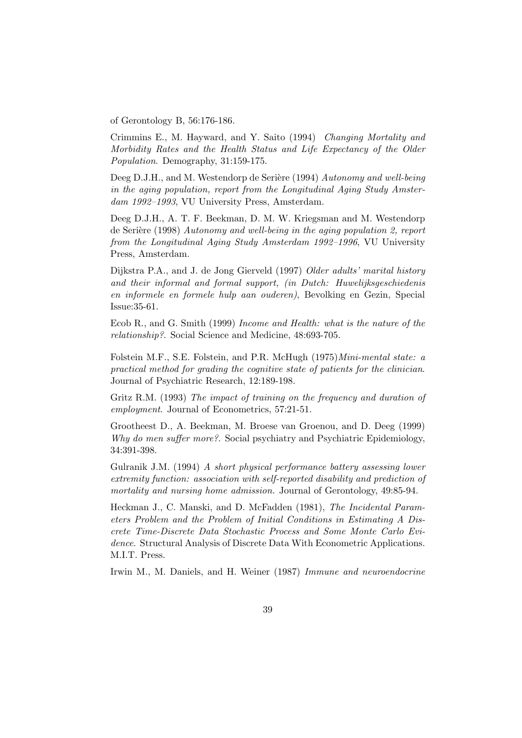of Gerontology B, 56:176-186.

Crimmins E., M. Hayward, and Y. Saito (1994) Changing Mortality and Morbidity Rates and the Health Status and Life Expectancy of the Older Population. Demography, 31:159-175.

Deeg D.J.H., and M. Westendorp de Serière (1994) Autonomy and well-being in the aging population, report from the Longitudinal Aging Study Amsterdam 1992–1993, VU University Press, Amsterdam.

Deeg D.J.H., A. T. F. Beekman, D. M. W. Kriegsman and M. Westendorp de Serière (1998) Autonomy and well-being in the aging population 2, report from the Longitudinal Aging Study Amsterdam 1992–1996, VU University Press, Amsterdam.

Dijkstra P.A., and J. de Jong Gierveld (1997) Older adults' marital history and their informal and formal support, (in Dutch: Huwelijksgeschiedenis en informele en formele hulp aan ouderen), Bevolking en Gezin, Special Issue:35-61.

Ecob R., and G. Smith (1999) Income and Health: what is the nature of the relationship?. Social Science and Medicine, 48:693-705.

Folstein M.F., S.E. Folstein, and P.R. McHugh (1975)Mini-mental state: a practical method for grading the cognitive state of patients for the clinician. Journal of Psychiatric Research, 12:189-198.

Gritz R.M. (1993) The impact of training on the frequency and duration of employment. Journal of Econometrics, 57:21-51.

Grootheest D., A. Beekman, M. Broese van Groenou, and D. Deeg (1999) Why do men suffer more?. Social psychiatry and Psychiatric Epidemiology, 34:391-398.

Gulranik J.M. (1994) A short physical performance battery assessing lower extremity function: association with self-reported disability and prediction of mortality and nursing home admission. Journal of Gerontology, 49:85-94.

Heckman J., C. Manski, and D. McFadden (1981), The Incidental Parameters Problem and the Problem of Initial Conditions in Estimating A Discrete Time-Discrete Data Stochastic Process and Some Monte Carlo Evidence. Structural Analysis of Discrete Data With Econometric Applications. M.I.T. Press.

Irwin M., M. Daniels, and H. Weiner (1987) Immune and neuroendocrine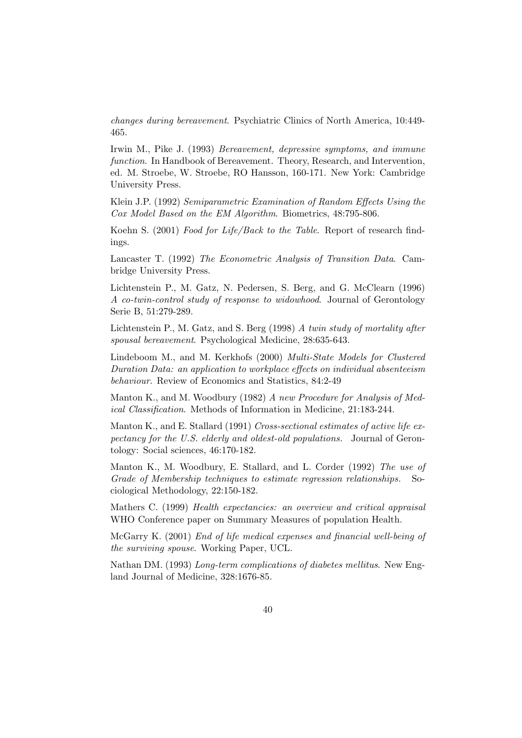changes during bereavement. Psychiatric Clinics of North America, 10:449- 465.

Irwin M., Pike J. (1993) Bereavement, depressive symptoms, and immune function. In Handbook of Bereavement. Theory, Research, and Intervention, ed. M. Stroebe, W. Stroebe, RO Hansson, 160-171. New York: Cambridge University Press.

Klein J.P. (1992) Semiparametric Examination of Random Effects Using the Cox Model Based on the EM Algorithm. Biometrics, 48:795-806.

Koehn S. (2001) Food for Life/Back to the Table. Report of research findings.

Lancaster T. (1992) The Econometric Analysis of Transition Data. Cambridge University Press.

Lichtenstein P., M. Gatz, N. Pedersen, S. Berg, and G. McClearn (1996) A co-twin-control study of response to widowhood. Journal of Gerontology Serie B, 51:279-289.

Lichtenstein P., M. Gatz, and S. Berg  $(1998)$  A twin study of mortality after spousal bereavement. Psychological Medicine, 28:635-643.

Lindeboom M., and M. Kerkhofs (2000) Multi-State Models for Clustered Duration Data: an application to workplace effects on individual absenteeism behaviour. Review of Economics and Statistics, 84:2-49

Manton K., and M. Woodbury (1982) A new Procedure for Analysis of Medical Classification. Methods of Information in Medicine, 21:183-244.

Manton K., and E. Stallard (1991) Cross-sectional estimates of active life expectancy for the U.S. elderly and oldest-old populations. Journal of Gerontology: Social sciences, 46:170-182.

Manton K., M. Woodbury, E. Stallard, and L. Corder (1992) The use of Grade of Membership techniques to estimate regression relationships. Sociological Methodology, 22:150-182.

Mathers C. (1999) Health expectancies: an overview and critical appraisal WHO Conference paper on Summary Measures of population Health.

McGarry K. (2001) End of life medical expenses and financial well-being of the surviving spouse. Working Paper, UCL.

Nathan DM. (1993) Long-term complications of diabetes mellitus. New England Journal of Medicine, 328:1676-85.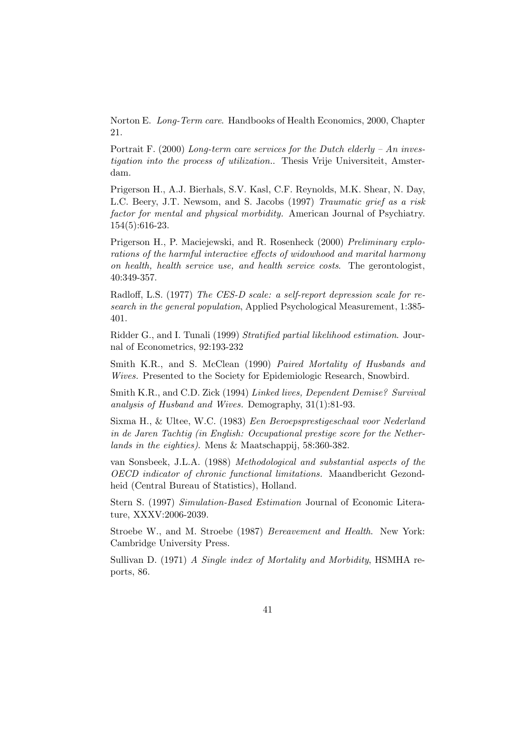Norton E. Long-Term care. Handbooks of Health Economics, 2000, Chapter 21.

Portrait F. (2000) Long-term care services for the Dutch elderly – An investigation into the process of utilization.. Thesis Vrije Universiteit, Amsterdam.

Prigerson H., A.J. Bierhals, S.V. Kasl, C.F. Reynolds, M.K. Shear, N. Day, L.C. Beery, J.T. Newsom, and S. Jacobs (1997) Traumatic grief as a risk factor for mental and physical morbidity. American Journal of Psychiatry. 154(5):616-23.

Prigerson H., P. Maciejewski, and R. Rosenheck (2000) Preliminary explorations of the harmful interactive effects of widowhood and marital harmony on health, health service use, and health service costs. The gerontologist, 40:349-357.

Radloff, L.S. (1977) The CES-D scale: a self-report depression scale for research in the general population, Applied Psychological Measurement, 1:385- 401.

Ridder G., and I. Tunali (1999) Stratified partial likelihood estimation. Journal of Econometrics, 92:193-232

Smith K.R., and S. McClean (1990) Paired Mortality of Husbands and Wives. Presented to the Society for Epidemiologic Research, Snowbird.

Smith K.R., and C.D. Zick (1994) Linked lives, Dependent Demise? Survival analysis of Husband and Wives. Demography, 31(1):81-93.

Sixma H., & Ultee, W.C. (1983) Een Beroepsprestigeschaal voor Nederland in de Jaren Tachtig (in English: Occupational prestige score for the Netherlands in the eighties). Mens & Maatschappij, 58:360-382.

van Sonsbeek, J.L.A. (1988) Methodological and substantial aspects of the OECD indicator of chronic functional limitations. Maandbericht Gezondheid (Central Bureau of Statistics), Holland.

Stern S. (1997) Simulation-Based Estimation Journal of Economic Literature, XXXV:2006-2039.

Stroebe W., and M. Stroebe (1987) Bereavement and Health. New York: Cambridge University Press.

Sullivan D. (1971) A Single index of Mortality and Morbidity, HSMHA reports, 86.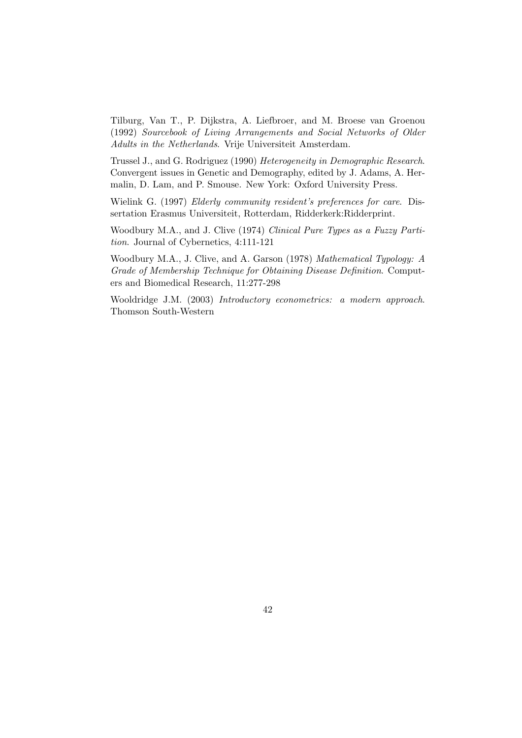Tilburg, Van T., P. Dijkstra, A. Liefbroer, and M. Broese van Groenou (1992) Sourcebook of Living Arrangements and Social Networks of Older Adults in the Netherlands. Vrije Universiteit Amsterdam.

Trussel J., and G. Rodriguez (1990) Heterogeneity in Demographic Research. Convergent issues in Genetic and Demography, edited by J. Adams, A. Hermalin, D. Lam, and P. Smouse. New York: Oxford University Press.

Wielink G. (1997) Elderly community resident's preferences for care. Dissertation Erasmus Universiteit, Rotterdam, Ridderkerk:Ridderprint.

Woodbury M.A., and J. Clive (1974) Clinical Pure Types as a Fuzzy Partition. Journal of Cybernetics, 4:111-121

Woodbury M.A., J. Clive, and A. Garson (1978) Mathematical Typology: A Grade of Membership Technique for Obtaining Disease Definition. Computers and Biomedical Research, 11:277-298

Wooldridge J.M. (2003) Introductory econometrics: a modern approach. Thomson South-Western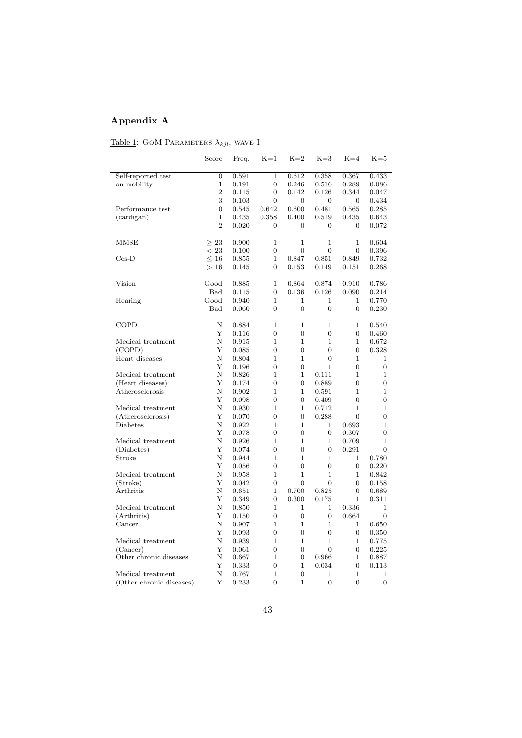# Appendix A

|  | Table 1: GOM PARAMETERS $\lambda_{kil}$ , WAVE I |  |  |
|--|--------------------------------------------------|--|--|
|  |                                                  |  |  |

|                          | Score          | Freq.          | $K=1$               | $K=2$                         | $K=3$               | $K=4$               | $K=5$            |
|--------------------------|----------------|----------------|---------------------|-------------------------------|---------------------|---------------------|------------------|
| Self-reported test       | $\overline{0}$ | 0.591          | $\mathbf{1}$        | 0.612                         | 0.358               | 0.367               | 0.433            |
| on mobility              | $\mathbf{1}$   | 0.191          | $\overline{0}$      | 0.246                         | 0.516               | 0.289               | 0.086            |
|                          | $\overline{2}$ | 0.115          | $\overline{0}$      | 0.142                         | 0.126               | 0.344               | 0.047            |
|                          | 3              | 0.103          | $\overline{0}$      | $\overline{0}$                | 0                   | $\overline{0}$      | 0.434            |
| Performance test         | 0              | 0.545          | 0.642               | 0.600                         | 0.481               | 0.565               | 0.285            |
| (cardigan)               | $\mathbf{1}$   | 0.435          | 0.358               | 0.400                         | 0.519               | 0.435               | 0.643            |
|                          | $\overline{2}$ | 0.020          | $\overline{0}$      | $\overline{0}$                | $\overline{0}$      | $\overline{0}$      | 0.072            |
| MMSE                     | >23            | 0.900          | $\mathbf{1}$        | $\mathbf 1$                   | $\mathbf{1}$        | $\mathbf{1}$        | 0.604            |
|                          | < 23           | 0.100          | $\overline{0}$      | $\overline{0}$                | $\overline{0}$      | $\overline{0}$      | 0.396            |
| $Ces-D$                  | $\leq 16$      | 0.855          | $\mathbf{1}$        | 0.847                         | 0.851               | 0.849               | 0.732            |
|                          | >16            | 0.145          | $\overline{0}$      | 0.153                         | 0.149               | 0.151               | 0.268            |
| Vision                   | Good           | 0.885          | $\mathbf{1}$        | 0.864                         | 0.874               | 0.910               | 0.786            |
|                          | Bad            | 0.115          | $\boldsymbol{0}$    | 0.136                         | 0.126               | 0.090               | 0.214            |
| Hearing                  | Good           | 0.940          | 1                   | 1                             | 1                   | 1                   | 0.770            |
|                          | <b>Bad</b>     | 0.060          | $\overline{0}$      | $\overline{0}$                | $\overline{0}$      | $\overline{0}$      | 0.230            |
| COPD                     | N              | 0.884          | 1                   | $\mathbf 1$                   | 1                   | $\mathbf{1}$        | 0.540            |
|                          | Y              | 0.116          | $\overline{0}$      | $\overline{0}$                | $\overline{0}$      | $\overline{0}$      | 0.460            |
| Medical treatment        | Ν              | 0.915          | $\mathbf{1}$        | $\mathbf{1}$                  | $\mathbf{1}$        | $\mathbf{1}$        | 0.672            |
| (COPD)                   | Υ              | 0.085          | $\overline{0}$      | $\Omega$                      | $\Omega$            | $\overline{0}$      | 0.328            |
| Heart diseases           | N              | 0.804          | 1                   | $\mathbf 1$                   | $\overline{0}$      | $\mathbf{1}$        | 1                |
|                          | Υ              | 0.196          | $\overline{0}$      | $\overline{0}$                | 1                   | $\overline{0}$      | $\overline{0}$   |
| Medical treatment        | Ν              | 0.826          | $\mathbf{1}$        | $\mathbf{1}$                  | 0.111               | $\mathbf{1}$        | $\mathbf{1}$     |
| (Heart diseases)         | Y              | 0.174          | $\overline{0}$      | $\overline{0}$                | 0.889               | $\overline{0}$      | $\overline{0}$   |
| Atherosclerosis          | N              | 0.902          | $\mathbf{1}$        | $\mathbf{1}$                  | 0.591               | $\mathbf{1}$        | $\mathbf{1}$     |
|                          | Υ              | 0.098          | $\overline{0}$      | $\boldsymbol{0}$              | 0.409               | $\boldsymbol{0}$    | $\boldsymbol{0}$ |
| Medical treatment        | Ν              | 0.930          | 1                   | $\mathbf{1}$                  | 0.712               | 1                   | 1                |
| (Atherosclerosis)        | Y              | 0.070          | $\overline{0}$      | $\overline{0}$                | 0.288               | $\overline{0}$      | $\overline{0}$   |
| <b>Diabetes</b>          | Ν              | 0.922          | $\mathbf{1}$        | $\mathbf{1}$                  | $\mathbf{1}$        | 0.693               | $\mathbf{1}$     |
|                          | Υ              | 0.078          | $\Omega$            | $\Omega$                      | 0                   | 0.307               | $\Omega$         |
| Medical treatment        | N              | 0.926          | $\mathbf{1}$        | $\mathbf{1}$                  | 1                   | 0.709               | $\mathbf{1}$     |
| (Diabetes)               | Υ              | 0.074          | $\overline{0}$      | $\overline{0}$                | $\overline{0}$      | 0.291               | $\overline{0}$   |
| Stroke                   | Ν              | 0.944          | $\mathbf{1}$        | $\mathbf 1$                   | 1                   | $\mathbf{1}$        | 0.780            |
|                          | Y              | 0.056          | $\overline{0}$      | $\overline{0}$                | $\overline{0}$      | $\overline{0}$      | 0.220            |
| Medical treatment        | Ν              | 0.958          | $\mathbf{1}$        | $\mathbf{1}$                  | $\mathbf{1}$        | $\mathbf{1}$        | 0.842            |
| (Stroke)                 | Υ              | 0.042          | $\overline{0}$      | $\overline{0}$                | $\overline{0}$      | $\overline{0}$      | 0.158            |
| Arthritis                | Ν              | 0.651          | $\mathbf{1}$        | 0.700                         | 0.825               | 0                   | 0.689            |
|                          | Υ              | 0.349          | $\overline{0}$      | 0.300                         | 0.175               | $\mathbf{1}$        | 0.311            |
| Medical treatment        | N              | 0.850          | $\mathbf{1}$        | $\mathbf 1$                   | 1                   | 0.336               | 1                |
| (Arthritis)              | Υ              | 0.150          | $\boldsymbol{0}$    | $\boldsymbol{0}$              | $\boldsymbol{0}$    | 0.664               | $\overline{0}$   |
| Cancer                   | Ν<br>Υ         | 0.907<br>0.093 | 1<br>$\overline{0}$ | $\mathbf 1$<br>$\overline{0}$ | 1<br>$\overline{0}$ | 1<br>$\overline{0}$ | 0.650<br>0.350   |
| Medical treatment        | Ν              | 0.939          | $\mathbf{1}$        | $\mathbf{1}$                  | $\mathbf{1}$        | $\mathbf{1}$        | 0.775            |
| (Cancer)                 | Υ              | 0.061          | $\overline{0}$      | $\boldsymbol{0}$              | $\Omega$            | 0                   | 0.225            |
| Other chronic diseases   | N              | 0.667          | $\mathbf{1}$        | $\overline{0}$                | 0.966               | $\mathbf{1}$        | 0.887            |
|                          | Υ              | 0.333          | $\boldsymbol{0}$    | $\mathbf 1$                   | 0.034               | 0                   | 0.113            |
| Medical treatment        | Ν              | 0.767          | 1                   | $\Omega$                      | 1                   | 1                   | 1                |
| (Other chronic diseases) | Y              | 0.233          | $\overline{0}$      | $\mathbf{1}$                  | $\overline{0}$      | $\overline{0}$      | $\overline{0}$   |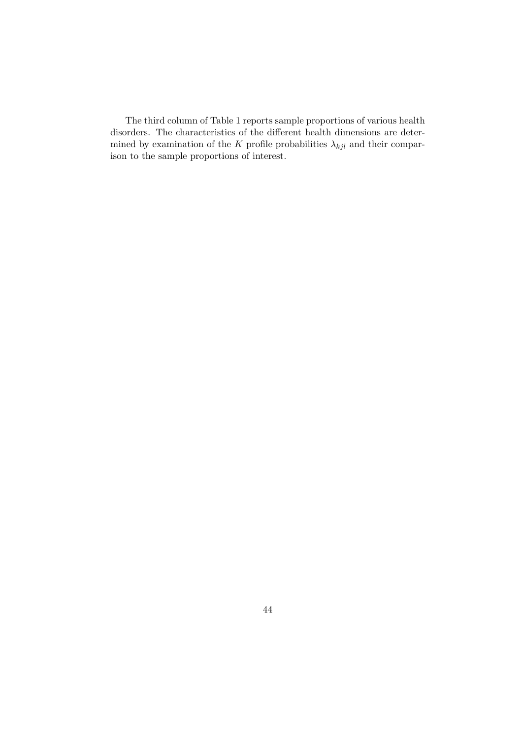The third column of Table 1 reports sample proportions of various health disorders. The characteristics of the different health dimensions are determined by examination of the K profile probabilities  $\lambda_{kjl}$  and their comparison to the sample proportions of interest.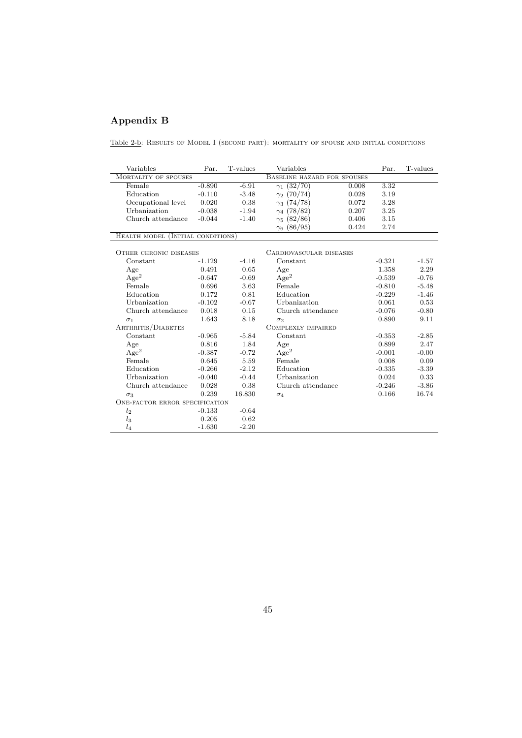# Appendix B

Table 2-b: Results of Model I (second part): mortality of spouse and initial conditions

| Variables                                | Par.     | T-values | Variables                   |       | Par.     | T-values |
|------------------------------------------|----------|----------|-----------------------------|-------|----------|----------|
| <b>MORTALITY OF SPOUSES</b>              |          |          | BASELINE HAZARD FOR SPOUSES |       |          |          |
| Female                                   | $-0.890$ | $-6.91$  | $\gamma_1(32/70)$           | 0.008 | 3.32     |          |
| Education                                | $-0.110$ | $-3.48$  | $\gamma_2$ (70/74)          | 0.028 | 3.19     |          |
| Occupational level                       | 0.020    | 0.38     | $\gamma_3$ (74/78)          | 0.072 | 3.28     |          |
| Urbanization                             | $-0.038$ | $-1.94$  | $\gamma_4$ (78/82)          | 0.207 | 3.25     |          |
| Church attendance                        | $-0.044$ | $-1.40$  | $\gamma_5$ (82/86)          | 0.406 | 3.15     |          |
|                                          |          |          | $\gamma_6$ (86/95)          | 0.424 | 2.74     |          |
| <b>HEALTH MODEL (INITIAL CONDITIONS)</b> |          |          |                             |       |          |          |
| OTHER CHRONIC DISEASES                   |          |          | CARDIOVASCULAR DISEASES     |       |          |          |
| Constant                                 | $-1.129$ | $-4.16$  | Constant                    |       | $-0.321$ | $-1.57$  |
| Age                                      | 0.491    | 0.65     | Age                         |       | 1.358    | 2.29     |
| Age <sup>2</sup>                         | $-0.647$ | $-0.69$  | Age <sup>2</sup>            |       | $-0.539$ | $-0.76$  |
| Female                                   | 0.696    | 3.63     | Female                      |       | $-0.810$ | $-5.48$  |
| Education                                | 0.172    | 0.81     | Education                   |       | $-0.229$ | $-1.46$  |
| Urbanization                             | $-0.102$ | $-0.67$  | Urbanization                |       | 0.061    | 0.53     |
| Church attendance                        | 0.018    | 0.15     | Church attendance           |       | $-0.076$ | $-0.80$  |
| $\sigma_1$                               | 1.643    | 8.18     | $\sigma_2$                  |       | 0.890    | 9.11     |
| ARTHRITIS/DIABETES                       |          |          | COMPLEXLY IMPAIRED          |       |          |          |
| Constant                                 | $-0.965$ | $-5.84$  | Constant                    |       | $-0.353$ | $-2.85$  |
| Age                                      | 0.816    | 1.84     | Age                         |       | 0.899    | 2.47     |
| Age <sup>2</sup>                         | $-0.387$ | $-0.72$  | Age <sup>2</sup>            |       | $-0.001$ | $-0.00$  |
| Female                                   | 0.645    | 5.59     | Female                      |       | 0.008    | 0.09     |
| Education                                | $-0.266$ | $-2.12$  | Education                   |       | $-0.335$ | $-3.39$  |
| Urbanization                             | $-0.040$ | $-0.44$  | Urbanization                |       | 0.024    | 0.33     |
| Church attendance                        | 0.028    | 0.38     | Church attendance           |       | $-0.246$ | $-3.86$  |
| $\sigma_3$                               | 0.239    | 16.830   | $\sigma_4$                  |       | 0.166    | 16.74    |
| <b>ONE-FACTOR ERROR SPECIFICATION</b>    |          |          |                             |       |          |          |
| l <sub>2</sub>                           | $-0.133$ | $-0.64$  |                             |       |          |          |
| $l_3$                                    | 0.205    | 0.62     |                             |       |          |          |
| $l_4$                                    | $-1.630$ | $-2.20$  |                             |       |          |          |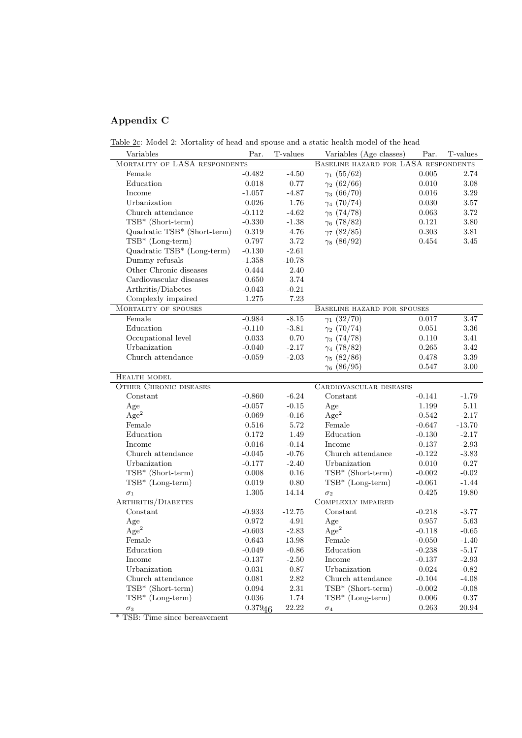# Appendix C

Table 2c: Model 2: Mortality of head and spouse and a static health model of the head

| Variables                     | Par.        | T-values  | Variables (Age classes)              | Par.     | T-values |
|-------------------------------|-------------|-----------|--------------------------------------|----------|----------|
| MORTALITY OF LASA RESPONDENTS |             |           | BASELINE HAZARD FOR LASA RESPONDENTS |          |          |
| Female                        | $-0.482$    | $-4.50$   | $\gamma_1(55/62)$                    | 0.005    | 2.74     |
| Education                     | 0.018       | 0.77      | $\gamma_2$ (62/66)                   | 0.010    | 3.08     |
| Income                        | $-1.057$    | $-4.87$   | $\gamma_3(66/70)$                    | 0.016    | 3.29     |
| Urbanization                  | 0.026       | 1.76      | $\gamma_4$ (70/74)                   | 0.030    | 3.57     |
| Church attendance             | $-0.112$    | $-4.62$   | $\gamma_5(74/78)$                    | 0.063    | 3.72     |
| TSB* (Short-term)             | $-0.330$    | $-1.38$   | $\gamma_6$ (78/82)                   | 0.121    | 3.80     |
| Quadratic TSB* (Short-term)   | 0.319       | 4.76      | $\gamma_7$ (82/85)                   | 0.303    | 3.81     |
| $TSB* (Long-term)$            | 0.797       | $3.72\,$  | $\gamma_8$ (86/92)                   | 0.454    | 3.45     |
| Quadratic TSB* (Long-term)    | $-0.130$    | $-2.61$   |                                      |          |          |
| Dummy refusals                | $-1.358$    | $-10.78$  |                                      |          |          |
| Other Chronic diseases        | 0.444       | 2.40      |                                      |          |          |
| Cardiovascular diseases       | 0.650       | 3.74      |                                      |          |          |
| Arthritis/Diabetes            | $-0.043$    | $-0.21$   |                                      |          |          |
| Complexly impaired            | 1.275       | 7.23      |                                      |          |          |
| MORTALITY OF SPOUSES          |             |           | BASELINE HAZARD FOR SPOUSES          |          |          |
| Female                        | $-0.984$    | $-8.15$   | $\gamma_1(32/70)$                    | 0.017    | 3.47     |
| Education                     | $-0.110$    | $-3.81$   | $\gamma_2$ (70/74)                   | 0.051    | 3.36     |
| Occupational level            | 0.033       | 0.70      | $\gamma_3$ (74/78)                   | 0.110    | 3.41     |
| Urbanization                  | $-0.040$    | $-2.17$   | $\gamma_4$ (78/82)                   | 0.265    | 3.42     |
| Church attendance             | $-0.059$    | $-2.03$   | $\gamma_5(82/86)$                    | 0.478    | 3.39     |
|                               |             |           | $\gamma_6$ (86/95)                   | 0.547    | $3.00\,$ |
| HEALTH MODEL                  |             |           |                                      |          |          |
| <b>OTHER CHRONIC DISEASES</b> |             |           | CARDIOVASCULAR DISEASES              |          |          |
| Constant                      | $-0.860$    | $-6.24$   | Constant                             | $-0.141$ | $-1.79$  |
| Age                           | $-0.057$    | $-0.15$   | Age                                  | 1.199    | $5.11\,$ |
| Age <sup>2</sup>              | $-0.069$    | $-0.16$   | Age <sup>2</sup>                     | $-0.542$ | $-2.17$  |
| Female                        | 0.516       | 5.72      | Female                               | $-0.647$ | $-13.70$ |
| Education                     | 0.172       | 1.49      | Education                            | $-0.130$ | $-2.17$  |
| Income                        | $-0.016$    | $-0.14$   | Income                               | $-0.137$ | $-2.93$  |
| Church attendance             | $-0.045$    | $-0.76$   | Church attendance                    | $-0.122$ | $-3.83$  |
| Urbanization                  | $-0.177$    | $-2.40$   | Urbanization                         | 0.010    | 0.27     |
| TSB* (Short-term)             | 0.008       | 0.16      | TSB* (Short-term)                    | $-0.002$ | $-0.02$  |
| $TSB* (Long-term)$            | 0.019       | 0.80      | $TSB* (Long-term)$                   | $-0.061$ | $-1.44$  |
| $\sigma_1$                    | 1.305       | 14.14     | $\sigma_2$                           | 0.425    | 19.80    |
| ARTHRITIS/DIABETES            |             |           | COMPLEXLY IMPAIRED                   |          |          |
| Constant                      | $-0.933$    | $-12.75$  | Constant                             | $-0.218$ | $-3.77$  |
| Age                           | 0.972       | 4.91      | Age                                  | 0.957    | 5.63     |
| Age <sup>2</sup>              | $-0.603$    | $-2.83$   | $\rm{Age}^2$                         | $-0.118$ | $-0.65$  |
| Female                        | $\,0.643\,$ | $13.98\,$ | Female                               | $-0.050$ | $-1.40$  |
| Education                     | $-0.049$    | $-0.86$   | Education                            | $-0.238$ | $-5.17$  |
| Income                        | $-0.137$    | $-2.50$   | Income                               | $-0.137$ | $-2.93$  |
| Urbanization                  | $\,0.031\,$ | $0.87\,$  | Urbanization                         | $-0.024$ | $-0.82$  |
| Church attendance             | $\,0.081\,$ | $2.82\,$  | Church attendance                    | $-0.104$ | $-4.08$  |
| TSB* (Short-term)             | 0.094       | $2.31\,$  | TSB* (Short-term)                    | $-0.002$ | $-0.08$  |
| TSB* (Long-term)              | 0.036       | $1.74\,$  | $TSB*$ (Long-term)                   | 0.006    | $0.37\,$ |
| $\sigma_3$                    | 0.37946     | 22.22     | $\sigma_4$                           | 0.263    | 20.94    |

\* TSB: Time since bereavement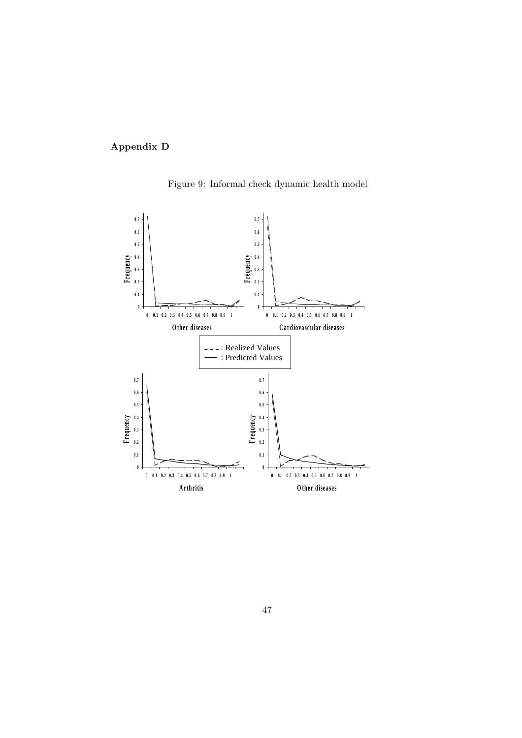# Appendix D

Figure 9: Informal check dynamic health model